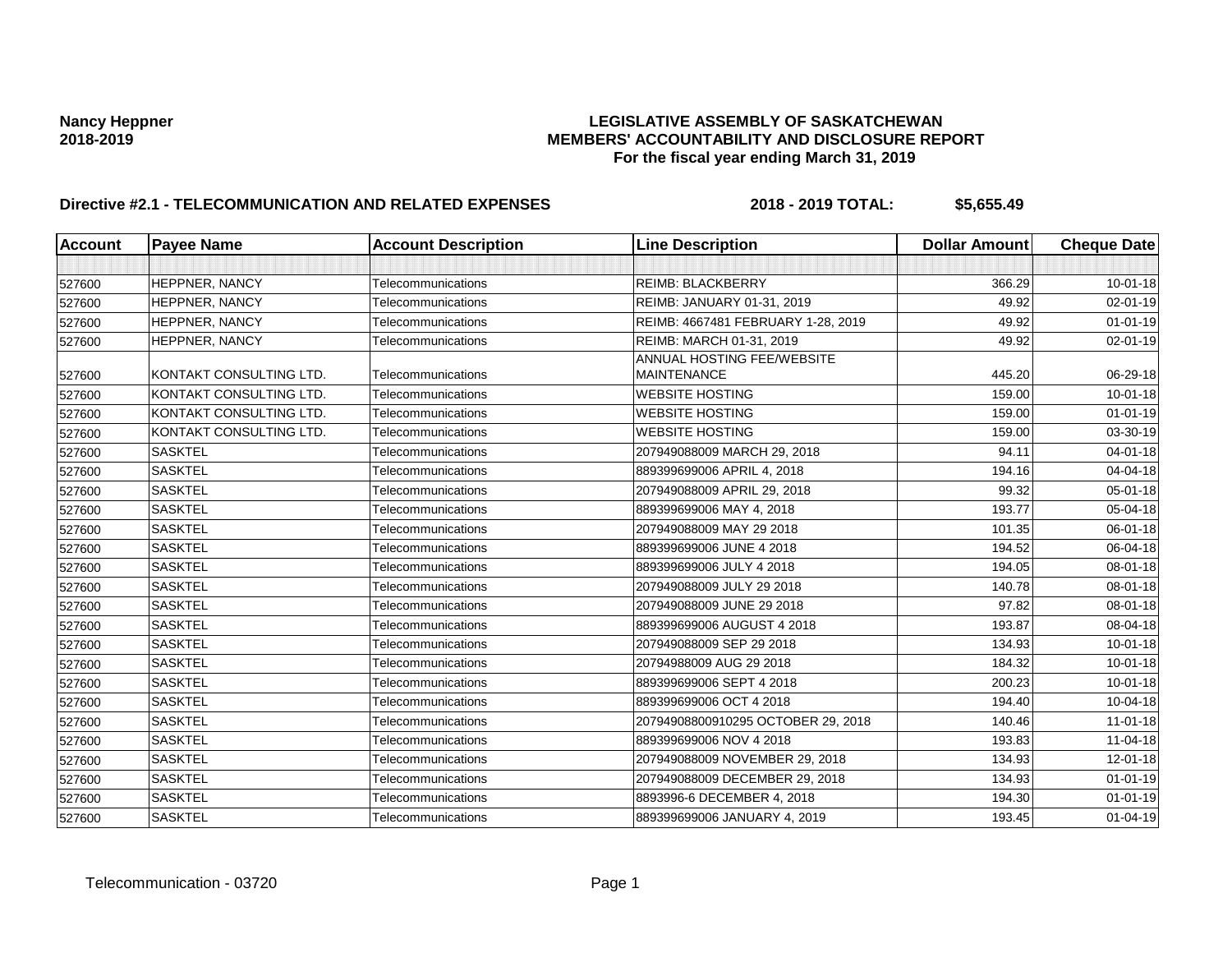| <b>Account</b> | <b>Payee Name</b>       | <b>Account Description</b> | <b>Line Description</b>                          | <b>Dollar Amount</b> | <b>Cheque Date</b> |
|----------------|-------------------------|----------------------------|--------------------------------------------------|----------------------|--------------------|
|                |                         |                            |                                                  |                      |                    |
| 527600         | HEPPNER, NANCY          | Telecommunications         | <b>REIMB: BLACKBERRY</b>                         | 366.29               | $10 - 01 - 18$     |
| 527600         | HEPPNER, NANCY          | Telecommunications         | REIMB: JANUARY 01-31, 2019                       | 49.92                | 02-01-19           |
| 527600         | HEPPNER, NANCY          | Telecommunications         | REIMB: 4667481 FEBRUARY 1-28, 2019               | 49.92                | $01 - 01 - 19$     |
| 527600         | HEPPNER, NANCY          | Telecommunications         | REIMB: MARCH 01-31, 2019                         | 49.92                | 02-01-19           |
| 527600         | KONTAKT CONSULTING LTD. | Telecommunications         | ANNUAL HOSTING FEE/WEBSITE<br><b>MAINTENANCE</b> | 445.20               | 06-29-18           |
| 527600         | KONTAKT CONSULTING LTD. | Telecommunications         | <b>WEBSITE HOSTING</b>                           | 159.00               | $10 - 01 - 18$     |
| 527600         | KONTAKT CONSULTING LTD. | Telecommunications         | <b>WEBSITE HOSTING</b>                           | 159.00               | $01 - 01 - 19$     |
| 527600         | KONTAKT CONSULTING LTD. | Telecommunications         | <b>WEBSITE HOSTING</b>                           | 159.00               | 03-30-19           |
| 527600         | <b>SASKTEL</b>          | Telecommunications         | 207949088009 MARCH 29, 2018                      | 94.11                | $04 - 01 - 18$     |
| 527600         | <b>SASKTEL</b>          | Telecommunications         | 889399699006 APRIL 4, 2018                       | 194.16               | 04-04-18           |
| 527600         | <b>SASKTEL</b>          | Telecommunications         | 207949088009 APRIL 29, 2018                      | 99.32                | 05-01-18           |
| 527600         | <b>SASKTEL</b>          | Telecommunications         | 889399699006 MAY 4, 2018                         | 193.77               | 05-04-18           |
| 527600         | <b>SASKTEL</b>          | Telecommunications         | 207949088009 MAY 29 2018                         | 101.35               | 06-01-18           |
| 527600         | <b>SASKTEL</b>          | Telecommunications         | 889399699006 JUNE 4 2018                         | 194.52               | 06-04-18           |
| 527600         | <b>SASKTEL</b>          | Telecommunications         | 889399699006 JULY 4 2018                         | 194.05               | 08-01-18           |
| 527600         | <b>SASKTEL</b>          | Telecommunications         | 207949088009 JULY 29 2018                        | 140.78               | 08-01-18           |
| 527600         | <b>SASKTEL</b>          | Telecommunications         | 207949088009 JUNE 29 2018                        | 97.82                | 08-01-18           |
| 527600         | <b>SASKTEL</b>          | Telecommunications         | 889399699006 AUGUST 4 2018                       | 193.87               | 08-04-18           |
| 527600         | <b>SASKTEL</b>          | Telecommunications         | 207949088009 SEP 29 2018                         | 134.93               | $10 - 01 - 18$     |
| 527600         | <b>SASKTEL</b>          | Telecommunications         | 20794988009 AUG 29 2018                          | 184.32               | $10 - 01 - 18$     |
| 527600         | <b>SASKTEL</b>          | Telecommunications         | 889399699006 SEPT 4 2018                         | 200.23               | 10-01-18           |
| 527600         | <b>SASKTEL</b>          | Telecommunications         | 889399699006 OCT 4 2018                          | 194.40               | 10-04-18           |
| 527600         | <b>SASKTEL</b>          | Telecommunications         | 20794908800910295 OCTOBER 29, 2018               | 140.46               | $11 - 01 - 18$     |
| 527600         | <b>SASKTEL</b>          | Telecommunications         | 889399699006 NOV 4 2018                          | 193.83               | 11-04-18           |
| 527600         | <b>SASKTEL</b>          | Telecommunications         | 207949088009 NOVEMBER 29, 2018                   | 134.93               | 12-01-18           |
| 527600         | <b>SASKTEL</b>          | Telecommunications         | 207949088009 DECEMBER 29, 2018                   | 134.93               | $01 - 01 - 19$     |
| 527600         | <b>SASKTEL</b>          | Telecommunications         | 8893996-6 DECEMBER 4, 2018                       | 194.30               | $01 - 01 - 19$     |
| 527600         | <b>SASKTEL</b>          | Telecommunications         | 889399699006 JANUARY 4, 2019                     | 193.45               | $01 - 04 - 19$     |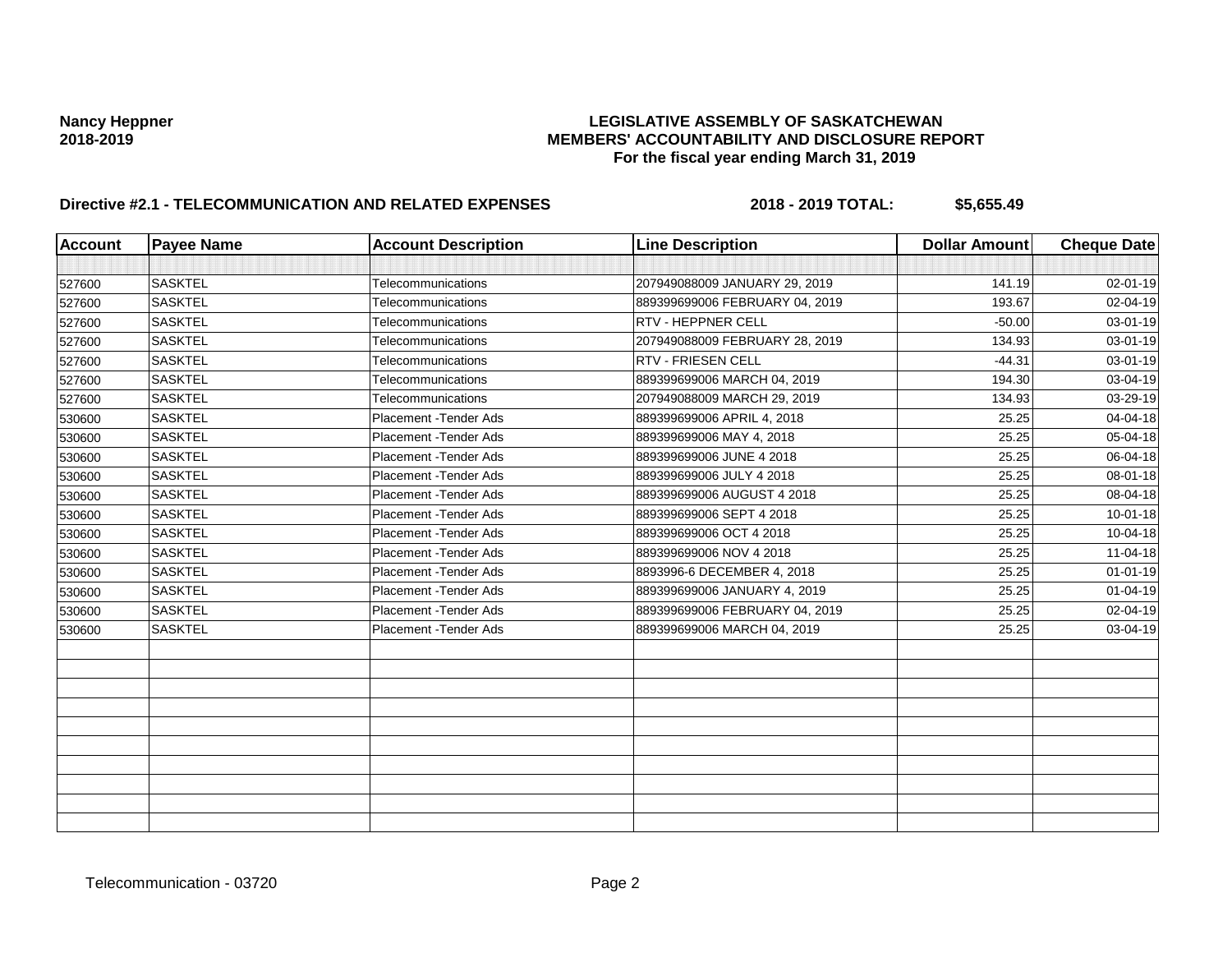| <b>Account</b> | <b>Payee Name</b> | <b>Account Description</b> | <b>Line Description</b>        | <b>Dollar Amount</b> | <b>Cheque Date</b> |
|----------------|-------------------|----------------------------|--------------------------------|----------------------|--------------------|
|                |                   |                            |                                |                      |                    |
| 527600         | <b>SASKTEL</b>    | Telecommunications         | 207949088009 JANUARY 29, 2019  | 141.19               | 02-01-19           |
| 527600         | <b>SASKTEL</b>    | Telecommunications         | 889399699006 FEBRUARY 04, 2019 | 193.67               | 02-04-19           |
| 527600         | <b>SASKTEL</b>    | Telecommunications         | <b>RTV - HEPPNER CELL</b>      | $-50.00$             | 03-01-19           |
| 527600         | <b>SASKTEL</b>    | Telecommunications         | 207949088009 FEBRUARY 28, 2019 | 134.93               | 03-01-19           |
| 527600         | <b>SASKTEL</b>    | Telecommunications         | <b>RTV - FRIESEN CELL</b>      | $-44.31$             | 03-01-19           |
| 527600         | <b>SASKTEL</b>    | Telecommunications         | 889399699006 MARCH 04, 2019    | 194.30               | 03-04-19           |
| 527600         | <b>SASKTEL</b>    | Telecommunications         | 207949088009 MARCH 29, 2019    | 134.93               | 03-29-19           |
| 530600         | <b>SASKTEL</b>    | Placement - Tender Ads     | 889399699006 APRIL 4, 2018     | 25.25                | 04-04-18           |
| 530600         | <b>SASKTEL</b>    | Placement - Tender Ads     | 889399699006 MAY 4, 2018       | 25.25                | 05-04-18           |
| 530600         | <b>SASKTEL</b>    | Placement - Tender Ads     | 889399699006 JUNE 4 2018       | 25.25                | 06-04-18           |
| 530600         | <b>SASKTEL</b>    | Placement - Tender Ads     | 889399699006 JULY 4 2018       | 25.25                | 08-01-18           |
| 530600         | <b>SASKTEL</b>    | Placement - Tender Ads     | 889399699006 AUGUST 4 2018     | 25.25                | 08-04-18           |
| 530600         | <b>SASKTEL</b>    | Placement - Tender Ads     | 889399699006 SEPT 4 2018       | 25.25                | $10 - 01 - 18$     |
| 530600         | <b>SASKTEL</b>    | Placement - Tender Ads     | 889399699006 OCT 4 2018        | 25.25                | 10-04-18           |
| 530600         | <b>SASKTEL</b>    | Placement - Tender Ads     | 889399699006 NOV 4 2018        | 25.25                | 11-04-18           |
| 530600         | <b>SASKTEL</b>    | Placement - Tender Ads     | 8893996-6 DECEMBER 4, 2018     | 25.25                | $01 - 01 - 19$     |
| 530600         | <b>SASKTEL</b>    | Placement - Tender Ads     | 889399699006 JANUARY 4, 2019   | 25.25                | $01 - 04 - 19$     |
| 530600         | <b>SASKTEL</b>    | Placement - Tender Ads     | 889399699006 FEBRUARY 04, 2019 | 25.25                | 02-04-19           |
| 530600         | <b>SASKTEL</b>    | Placement - Tender Ads     | 889399699006 MARCH 04, 2019    | 25.25                | 03-04-19           |
|                |                   |                            |                                |                      |                    |
|                |                   |                            |                                |                      |                    |
|                |                   |                            |                                |                      |                    |
|                |                   |                            |                                |                      |                    |
|                |                   |                            |                                |                      |                    |
|                |                   |                            |                                |                      |                    |
|                |                   |                            |                                |                      |                    |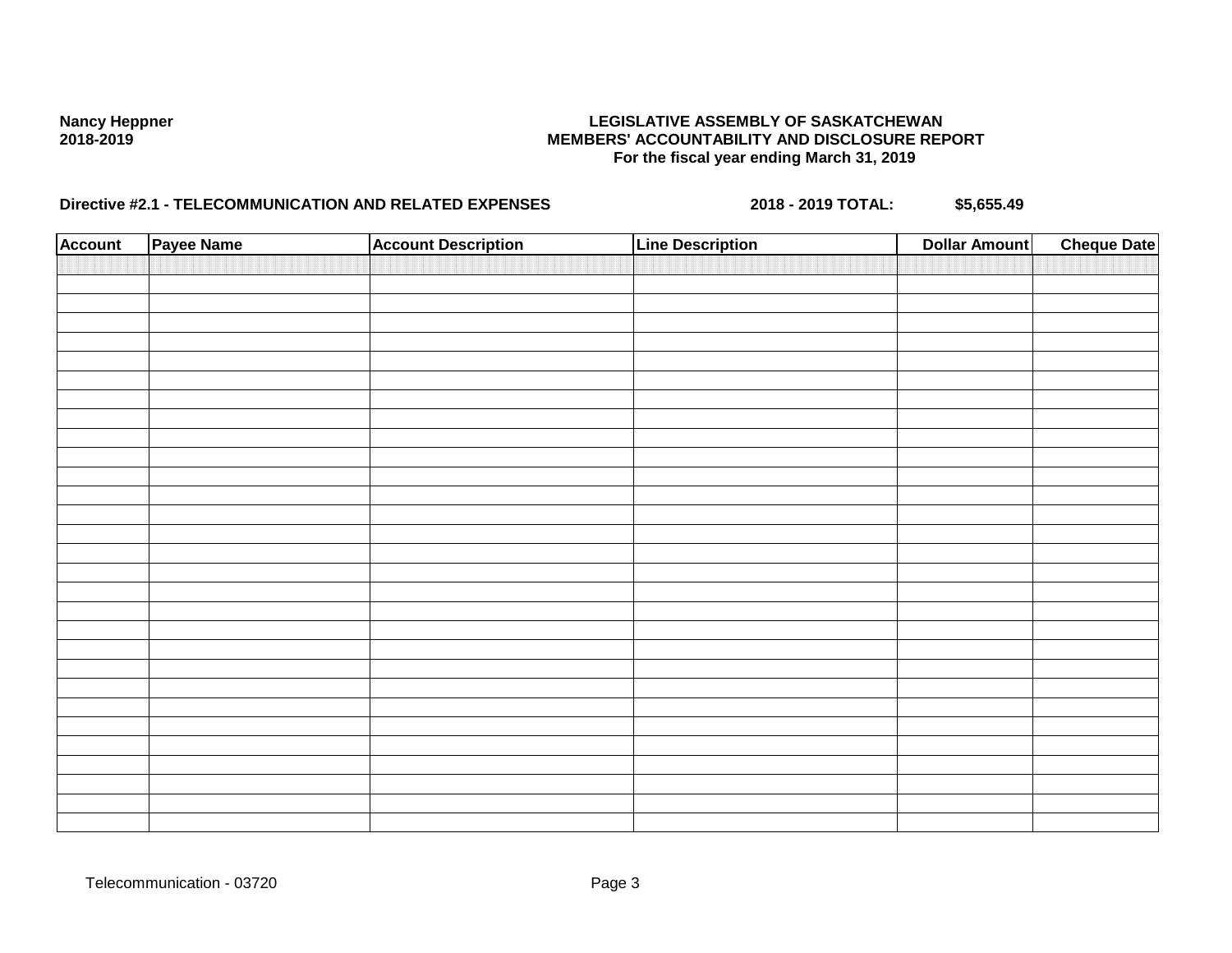| <b>Account</b> | Payee Name | <b>Account Description</b> | <b>Line Description</b> | <b>Dollar Amount</b> | <b>Cheque Date</b> |
|----------------|------------|----------------------------|-------------------------|----------------------|--------------------|
|                |            |                            |                         |                      |                    |
|                |            |                            |                         |                      |                    |
|                |            |                            |                         |                      |                    |
|                |            |                            |                         |                      |                    |
|                |            |                            |                         |                      |                    |
|                |            |                            |                         |                      |                    |
|                |            |                            |                         |                      |                    |
|                |            |                            |                         |                      |                    |
|                |            |                            |                         |                      |                    |
|                |            |                            |                         |                      |                    |
|                |            |                            |                         |                      |                    |
|                |            |                            |                         |                      |                    |
|                |            |                            |                         |                      |                    |
|                |            |                            |                         |                      |                    |
|                |            |                            |                         |                      |                    |
|                |            |                            |                         |                      |                    |
|                |            |                            |                         |                      |                    |
|                |            |                            |                         |                      |                    |
|                |            |                            |                         |                      |                    |
|                |            |                            |                         |                      |                    |
|                |            |                            |                         |                      |                    |
|                |            |                            |                         |                      |                    |
|                |            |                            |                         |                      |                    |
|                |            |                            |                         |                      |                    |
|                |            |                            |                         |                      |                    |
|                |            |                            |                         |                      |                    |
|                |            |                            |                         |                      |                    |
|                |            |                            |                         |                      |                    |
|                |            |                            |                         |                      |                    |
|                |            |                            |                         |                      |                    |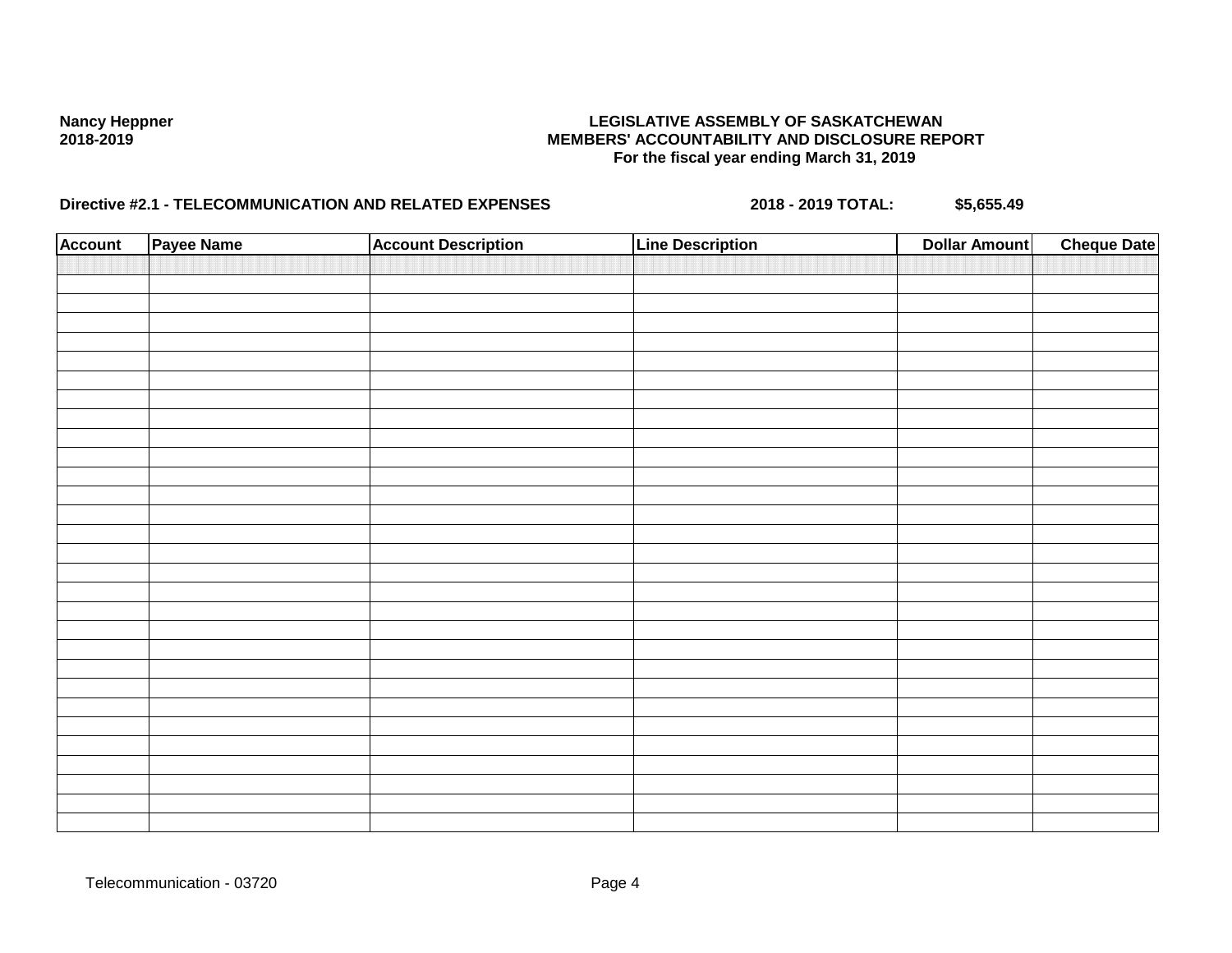| <b>Account</b> | Payee Name | <b>Account Description</b> | <b>Line Description</b> | <b>Dollar Amount</b> | <b>Cheque Date</b> |
|----------------|------------|----------------------------|-------------------------|----------------------|--------------------|
|                |            |                            |                         |                      |                    |
|                |            |                            |                         |                      |                    |
|                |            |                            |                         |                      |                    |
|                |            |                            |                         |                      |                    |
|                |            |                            |                         |                      |                    |
|                |            |                            |                         |                      |                    |
|                |            |                            |                         |                      |                    |
|                |            |                            |                         |                      |                    |
|                |            |                            |                         |                      |                    |
|                |            |                            |                         |                      |                    |
|                |            |                            |                         |                      |                    |
|                |            |                            |                         |                      |                    |
|                |            |                            |                         |                      |                    |
|                |            |                            |                         |                      |                    |
|                |            |                            |                         |                      |                    |
|                |            |                            |                         |                      |                    |
|                |            |                            |                         |                      |                    |
|                |            |                            |                         |                      |                    |
|                |            |                            |                         |                      |                    |
|                |            |                            |                         |                      |                    |
|                |            |                            |                         |                      |                    |
|                |            |                            |                         |                      |                    |
|                |            |                            |                         |                      |                    |
|                |            |                            |                         |                      |                    |
|                |            |                            |                         |                      |                    |
|                |            |                            |                         |                      |                    |
|                |            |                            |                         |                      |                    |
|                |            |                            |                         |                      |                    |
|                |            |                            |                         |                      |                    |
|                |            |                            |                         |                      |                    |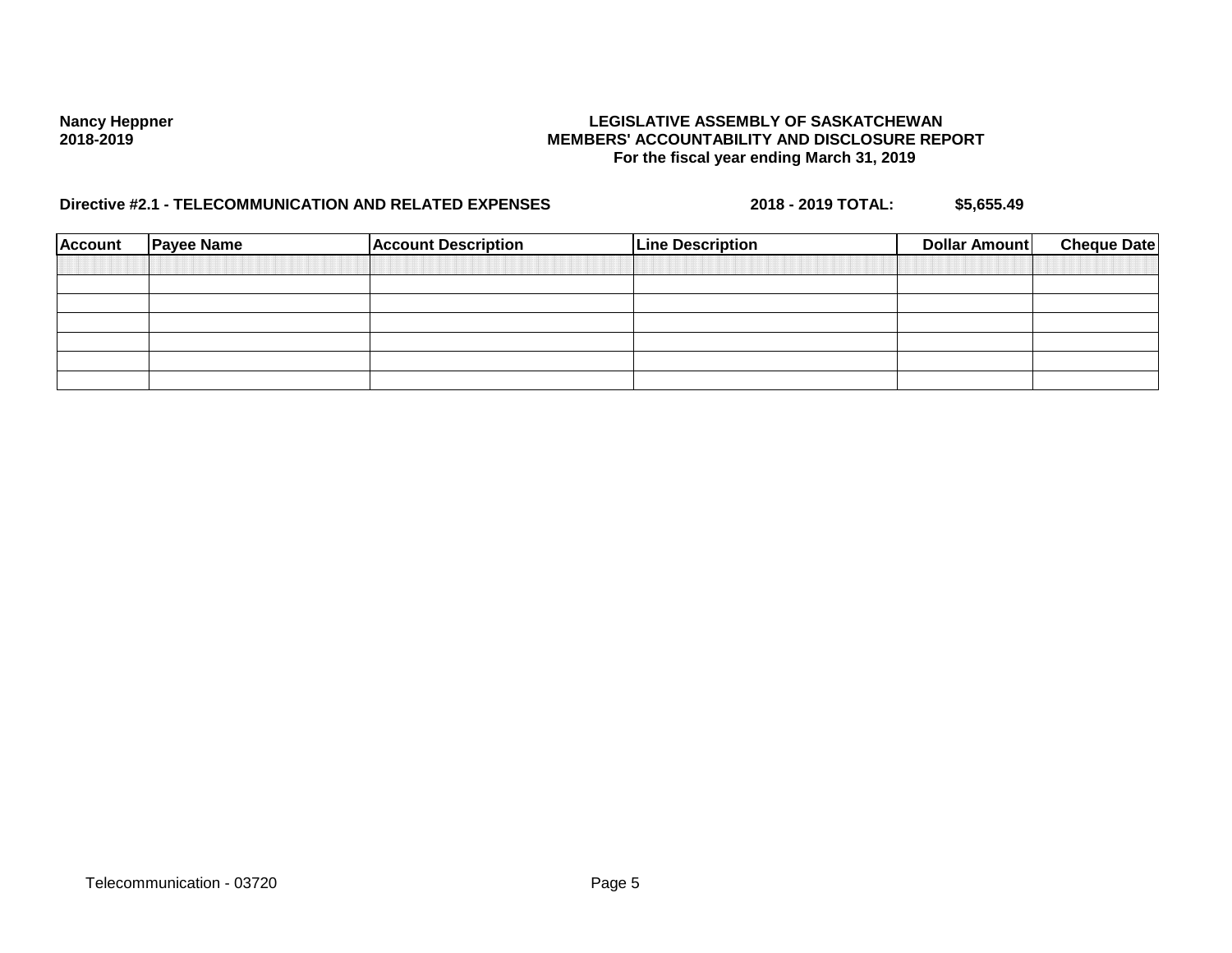| <b>Account</b> | <b>Payee Name</b> | <b>Account Description</b> | <b>Line Description</b> | Dollar Amount | <b>Cheque Date</b> |
|----------------|-------------------|----------------------------|-------------------------|---------------|--------------------|
|                |                   |                            |                         |               |                    |
|                |                   |                            |                         |               |                    |
|                |                   |                            |                         |               |                    |
|                |                   |                            |                         |               |                    |
|                |                   |                            |                         |               |                    |
|                |                   |                            |                         |               |                    |
|                |                   |                            |                         |               |                    |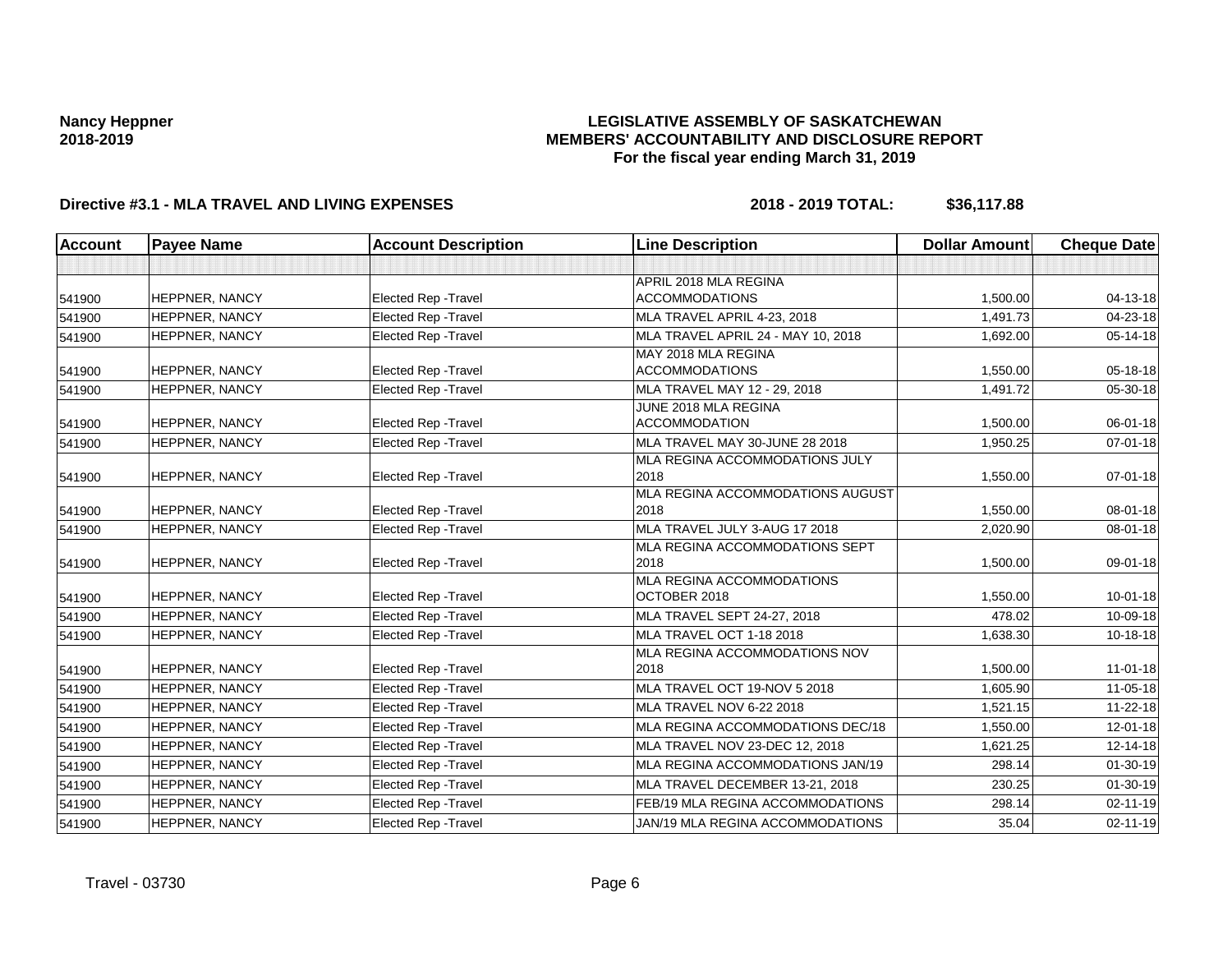## **LEGISLATIVE ASSEMBLY OF SASKATCHEWAN MEMBERS' ACCOUNTABILITY AND DISCLOSURE REPORT For the fiscal year ending March 31, 2019**

| <b>Account</b> | <b>Payee Name</b>     | <b>Account Description</b>  | <b>Line Description</b>                          | <b>Dollar Amount</b> | <b>Cheque Date</b> |
|----------------|-----------------------|-----------------------------|--------------------------------------------------|----------------------|--------------------|
|                |                       |                             |                                                  |                      |                    |
|                |                       |                             | APRIL 2018 MLA REGINA                            |                      |                    |
| 541900         | HEPPNER, NANCY        | <b>Elected Rep - Travel</b> | <b>ACCOMMODATIONS</b>                            | 1,500.00             | 04-13-18           |
| 541900         | <b>HEPPNER, NANCY</b> | <b>Elected Rep - Travel</b> | MLA TRAVEL APRIL 4-23, 2018                      | 1,491.73             | 04-23-18           |
| 541900         | HEPPNER, NANCY        | Elected Rep - Travel        | MLA TRAVEL APRIL 24 - MAY 10, 2018               | 1,692.00             | 05-14-18           |
|                |                       |                             | MAY 2018 MLA REGINA                              |                      |                    |
| 541900         | HEPPNER, NANCY        | <b>Elected Rep - Travel</b> | <b>ACCOMMODATIONS</b>                            | 1,550.00             | 05-18-18           |
| 541900         | HEPPNER, NANCY        | <b>Elected Rep - Travel</b> | MLA TRAVEL MAY 12 - 29, 2018                     | 1,491.72             | 05-30-18           |
|                |                       |                             | JUNE 2018 MLA REGINA                             |                      |                    |
| 541900         | HEPPNER, NANCY        | <b>Elected Rep - Travel</b> | <b>ACCOMMODATION</b>                             | 1,500.00             | 06-01-18           |
| 541900         | HEPPNER, NANCY        | Elected Rep - Travel        | MLA TRAVEL MAY 30-JUNE 28 2018                   | 1,950.25             | $07 - 01 - 18$     |
|                |                       |                             | MLA REGINA ACCOMMODATIONS JULY                   |                      |                    |
| 541900         | HEPPNER, NANCY        | <b>Elected Rep - Travel</b> | 2018                                             | 1,550.00             | 07-01-18           |
|                |                       |                             | MLA REGINA ACCOMMODATIONS AUGUST                 |                      |                    |
| 541900         | HEPPNER, NANCY        | <b>Elected Rep - Travel</b> | 2018                                             | 1,550.00             | 08-01-18           |
| 541900         | <b>HEPPNER, NANCY</b> | <b>Elected Rep - Travel</b> | MLA TRAVEL JULY 3-AUG 17 2018                    | 2,020.90             | 08-01-18           |
|                |                       |                             | MLA REGINA ACCOMMODATIONS SEPT                   |                      |                    |
| 541900         | HEPPNER, NANCY        | <b>Elected Rep - Travel</b> | 2018                                             | 1,500.00             | 09-01-18           |
|                | <b>HEPPNER, NANCY</b> | Elected Rep - Travel        | <b>MLA REGINA ACCOMMODATIONS</b><br>OCTOBER 2018 | 1,550.00             | $10 - 01 - 18$     |
| 541900         |                       |                             |                                                  |                      |                    |
| 541900         | HEPPNER, NANCY        | Elected Rep - Travel        | MLA TRAVEL SEPT 24-27, 2018                      | 478.02               | 10-09-18           |
| 541900         | HEPPNER, NANCY        | Elected Rep - Travel        | MLA TRAVEL OCT 1-18 2018                         | 1,638.30             | 10-18-18           |
|                |                       |                             | MLA REGINA ACCOMMODATIONS NOV                    |                      |                    |
| 541900         | <b>HEPPNER, NANCY</b> | <b>Elected Rep - Travel</b> | 2018                                             | 1,500.00             | $11 - 01 - 18$     |
| 541900         | HEPPNER, NANCY        | Elected Rep - Travel        | MLA TRAVEL OCT 19-NOV 5 2018                     | 1,605.90             | $11 - 05 - 18$     |
| 541900         | HEPPNER, NANCY        | Elected Rep - Travel        | MLA TRAVEL NOV 6-22 2018                         | 1,521.15             | 11-22-18           |
| 541900         | HEPPNER, NANCY        | Elected Rep - Travel        | MLA REGINA ACCOMMODATIONS DEC/18                 | 1,550.00             | $12 - 01 - 18$     |
| 541900         | <b>HEPPNER, NANCY</b> | <b>Elected Rep - Travel</b> | MLA TRAVEL NOV 23-DEC 12, 2018                   | 1,621.25             | 12-14-18           |
| 541900         | HEPPNER, NANCY        | <b>Elected Rep - Travel</b> | MLA REGINA ACCOMMODATIONS JAN/19                 | 298.14               | $01 - 30 - 19$     |
| 541900         | HEPPNER, NANCY        | Elected Rep - Travel        | MLA TRAVEL DECEMBER 13-21, 2018                  | 230.25               | $01 - 30 - 19$     |
| 541900         | HEPPNER, NANCY        | <b>Elected Rep - Travel</b> | FEB/19 MLA REGINA ACCOMMODATIONS                 | 298.14               | 02-11-19           |
| 541900         | HEPPNER, NANCY        | Elected Rep - Travel        | JAN/19 MLA REGINA ACCOMMODATIONS                 | 35.04                | $02 - 11 - 19$     |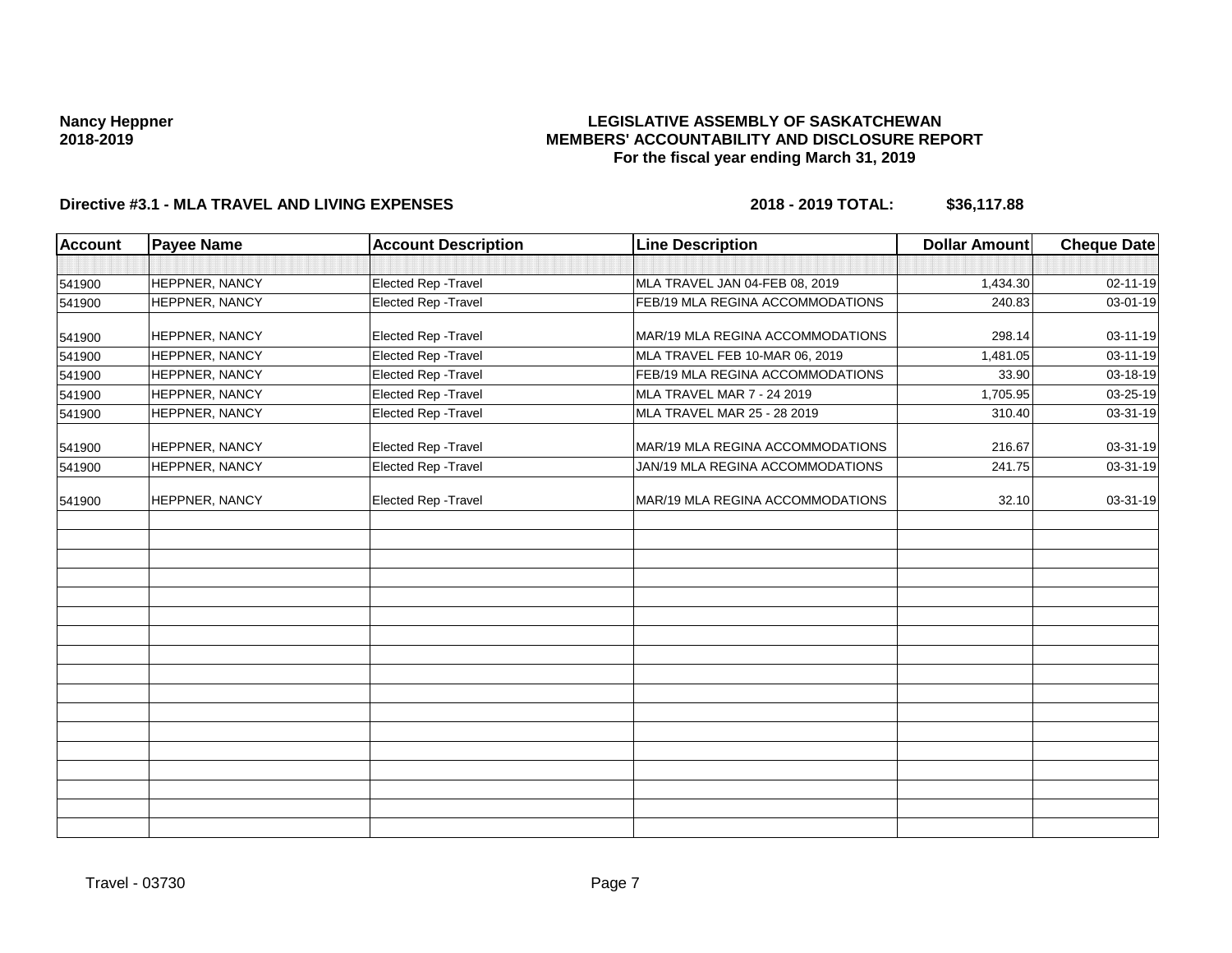## **LEGISLATIVE ASSEMBLY OF SASKATCHEWAN MEMBERS' ACCOUNTABILITY AND DISCLOSURE REPORT For the fiscal year ending March 31, 2019**

| <b>Account</b> | <b>Payee Name</b> | <b>Account Description</b> | <b>Line Description</b>          | <b>Dollar Amount</b> | <b>Cheque Date</b> |
|----------------|-------------------|----------------------------|----------------------------------|----------------------|--------------------|
|                |                   |                            |                                  |                      |                    |
| 541900         | HEPPNER, NANCY    | Elected Rep - Travel       | MLA TRAVEL JAN 04-FEB 08, 2019   | 1,434.30             | 02-11-19           |
| 541900         | HEPPNER, NANCY    | Elected Rep - Travel       | FEB/19 MLA REGINA ACCOMMODATIONS | 240.83               | 03-01-19           |
| 541900         | HEPPNER, NANCY    | Elected Rep - Travel       | MAR/19 MLA REGINA ACCOMMODATIONS | 298.14               | 03-11-19           |
| 541900         | HEPPNER, NANCY    | Elected Rep - Travel       | MLA TRAVEL FEB 10-MAR 06, 2019   | 1,481.05             | 03-11-19           |
| 541900         | HEPPNER, NANCY    | Elected Rep - Travel       | FEB/19 MLA REGINA ACCOMMODATIONS | 33.90                | 03-18-19           |
| 541900         | HEPPNER, NANCY    | Elected Rep - Travel       | MLA TRAVEL MAR 7 - 24 2019       | 1,705.95             | 03-25-19           |
| 541900         | HEPPNER, NANCY    | Elected Rep - Travel       | MLA TRAVEL MAR 25 - 28 2019      | 310.40               | 03-31-19           |
| 541900         | HEPPNER, NANCY    | Elected Rep - Travel       | MAR/19 MLA REGINA ACCOMMODATIONS | 216.67               | 03-31-19           |
| 541900         | HEPPNER, NANCY    | Elected Rep - Travel       | JAN/19 MLA REGINA ACCOMMODATIONS | 241.75               | 03-31-19           |
| 541900         | HEPPNER, NANCY    | Elected Rep - Travel       | MAR/19 MLA REGINA ACCOMMODATIONS | 32.10                | 03-31-19           |
|                |                   |                            |                                  |                      |                    |
|                |                   |                            |                                  |                      |                    |
|                |                   |                            |                                  |                      |                    |
|                |                   |                            |                                  |                      |                    |
|                |                   |                            |                                  |                      |                    |
|                |                   |                            |                                  |                      |                    |
|                |                   |                            |                                  |                      |                    |
|                |                   |                            |                                  |                      |                    |
|                |                   |                            |                                  |                      |                    |
|                |                   |                            |                                  |                      |                    |
|                |                   |                            |                                  |                      |                    |
|                |                   |                            |                                  |                      |                    |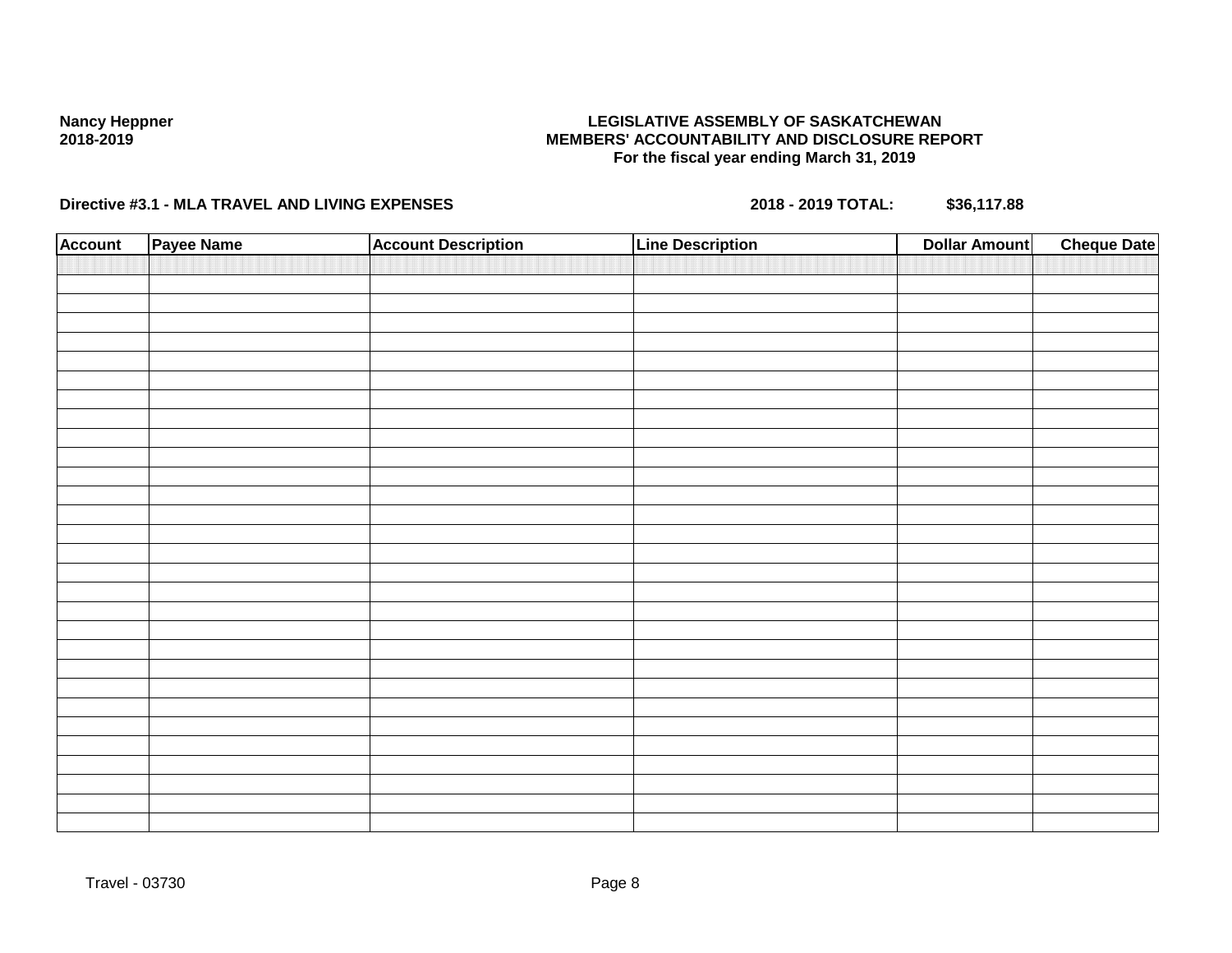## **LEGISLATIVE ASSEMBLY OF SASKATCHEWAN MEMBERS' ACCOUNTABILITY AND DISCLOSURE REPORT For the fiscal year ending March 31, 2019**

| <b>Account</b> | Payee Name | <b>Account Description</b> | <b>Line Description</b> | <b>Dollar Amount</b> | <b>Cheque Date</b> |
|----------------|------------|----------------------------|-------------------------|----------------------|--------------------|
|                |            |                            |                         |                      |                    |
|                |            |                            |                         |                      |                    |
|                |            |                            |                         |                      |                    |
|                |            |                            |                         |                      |                    |
|                |            |                            |                         |                      |                    |
|                |            |                            |                         |                      |                    |
|                |            |                            |                         |                      |                    |
|                |            |                            |                         |                      |                    |
|                |            |                            |                         |                      |                    |
|                |            |                            |                         |                      |                    |
|                |            |                            |                         |                      |                    |
|                |            |                            |                         |                      |                    |
|                |            |                            |                         |                      |                    |
|                |            |                            |                         |                      |                    |
|                |            |                            |                         |                      |                    |
|                |            |                            |                         |                      |                    |
|                |            |                            |                         |                      |                    |
|                |            |                            |                         |                      |                    |
|                |            |                            |                         |                      |                    |
|                |            |                            |                         |                      |                    |
|                |            |                            |                         |                      |                    |
|                |            |                            |                         |                      |                    |
|                |            |                            |                         |                      |                    |
|                |            |                            |                         |                      |                    |
|                |            |                            |                         |                      |                    |
|                |            |                            |                         |                      |                    |
|                |            |                            |                         |                      |                    |
|                |            |                            |                         |                      |                    |
|                |            |                            |                         |                      |                    |
|                |            |                            |                         |                      |                    |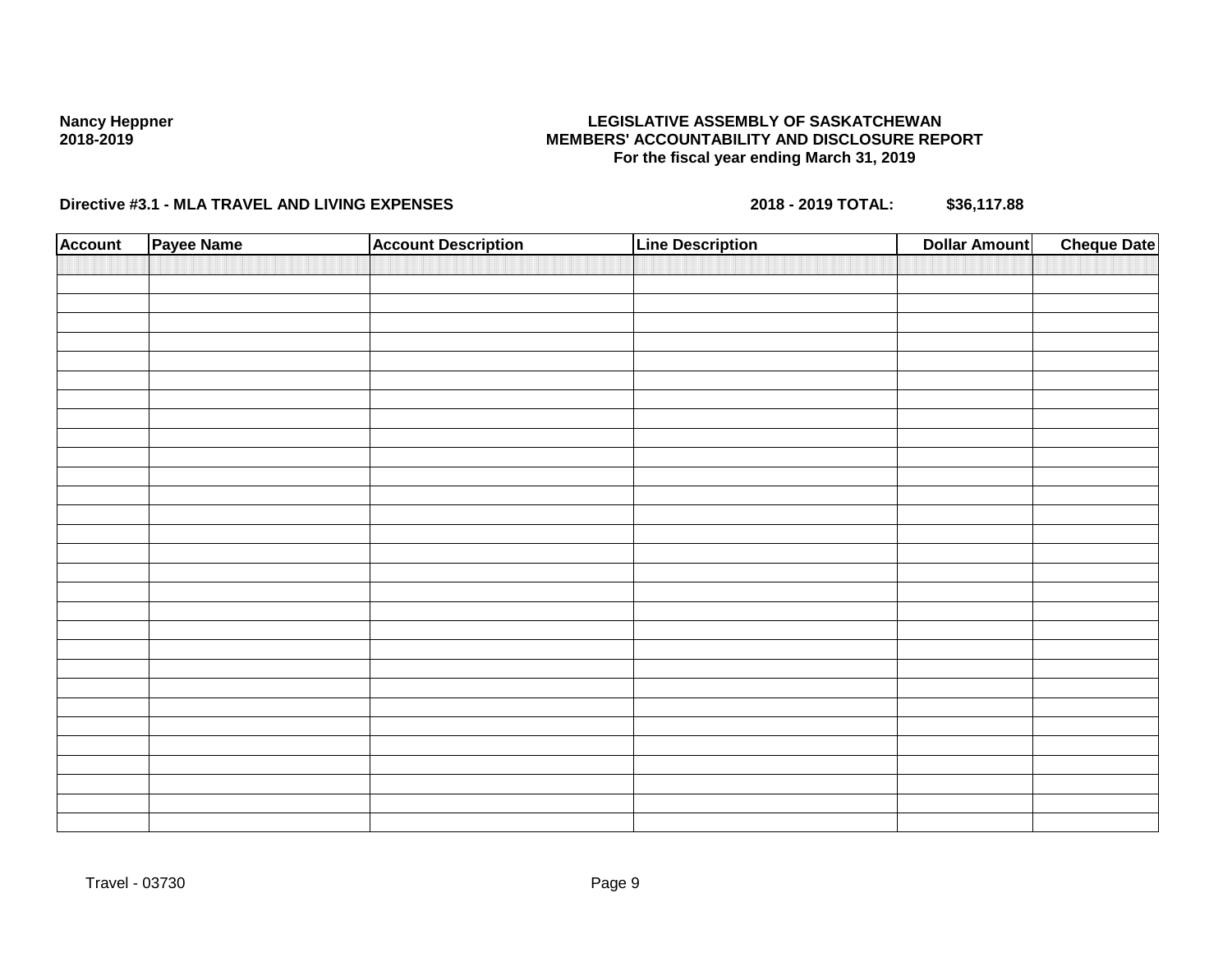## **LEGISLATIVE ASSEMBLY OF SASKATCHEWAN MEMBERS' ACCOUNTABILITY AND DISCLOSURE REPORT For the fiscal year ending March 31, 2019**

| Account | Payee Name | <b>Account Description</b> | <b>Line Description</b> | <b>Dollar Amount</b> | <b>Cheque Date</b> |
|---------|------------|----------------------------|-------------------------|----------------------|--------------------|
|         |            |                            |                         |                      |                    |
|         |            |                            |                         |                      |                    |
|         |            |                            |                         |                      |                    |
|         |            |                            |                         |                      |                    |
|         |            |                            |                         |                      |                    |
|         |            |                            |                         |                      |                    |
|         |            |                            |                         |                      |                    |
|         |            |                            |                         |                      |                    |
|         |            |                            |                         |                      |                    |
|         |            |                            |                         |                      |                    |
|         |            |                            |                         |                      |                    |
|         |            |                            |                         |                      |                    |
|         |            |                            |                         |                      |                    |
|         |            |                            |                         |                      |                    |
|         |            |                            |                         |                      |                    |
|         |            |                            |                         |                      |                    |
|         |            |                            |                         |                      |                    |
|         |            |                            |                         |                      |                    |
|         |            |                            |                         |                      |                    |
|         |            |                            |                         |                      |                    |
|         |            |                            |                         |                      |                    |
|         |            |                            |                         |                      |                    |
|         |            |                            |                         |                      |                    |
|         |            |                            |                         |                      |                    |
|         |            |                            |                         |                      |                    |
|         |            |                            |                         |                      |                    |
|         |            |                            |                         |                      |                    |
|         |            |                            |                         |                      |                    |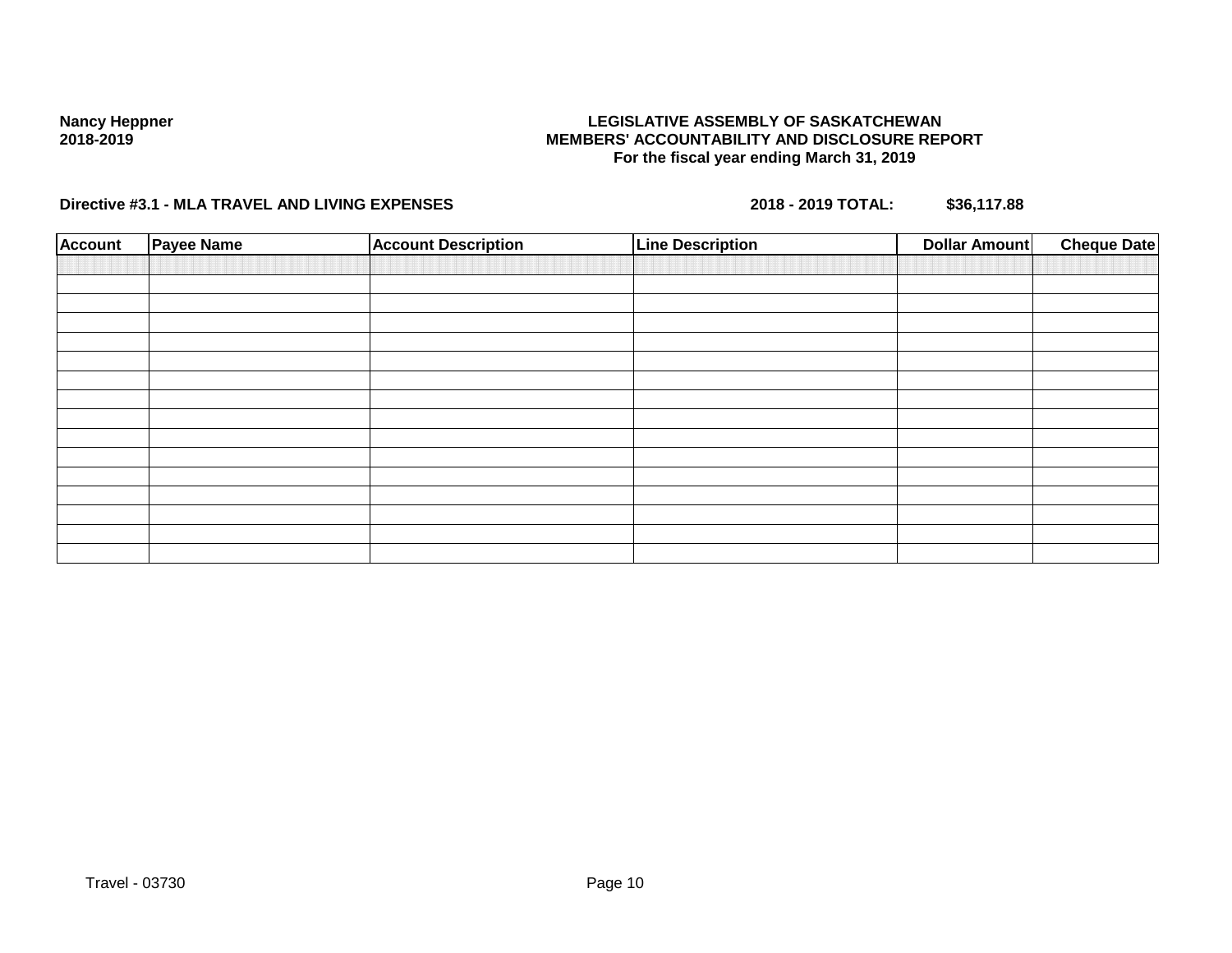## **LEGISLATIVE ASSEMBLY OF SASKATCHEWAN MEMBERS' ACCOUNTABILITY AND DISCLOSURE REPORT For the fiscal year ending March 31, 2019**

| <b>Account</b> | <b>Payee Name</b> | <b>Account Description</b> | <b>Line Description</b> | <b>Dollar Amount</b> | <b>Cheque Date</b> |
|----------------|-------------------|----------------------------|-------------------------|----------------------|--------------------|
|                |                   |                            |                         |                      |                    |
|                |                   |                            |                         |                      |                    |
|                |                   |                            |                         |                      |                    |
|                |                   |                            |                         |                      |                    |
|                |                   |                            |                         |                      |                    |
|                |                   |                            |                         |                      |                    |
|                |                   |                            |                         |                      |                    |
|                |                   |                            |                         |                      |                    |
|                |                   |                            |                         |                      |                    |
|                |                   |                            |                         |                      |                    |
|                |                   |                            |                         |                      |                    |
|                |                   |                            |                         |                      |                    |
|                |                   |                            |                         |                      |                    |
|                |                   |                            |                         |                      |                    |
|                |                   |                            |                         |                      |                    |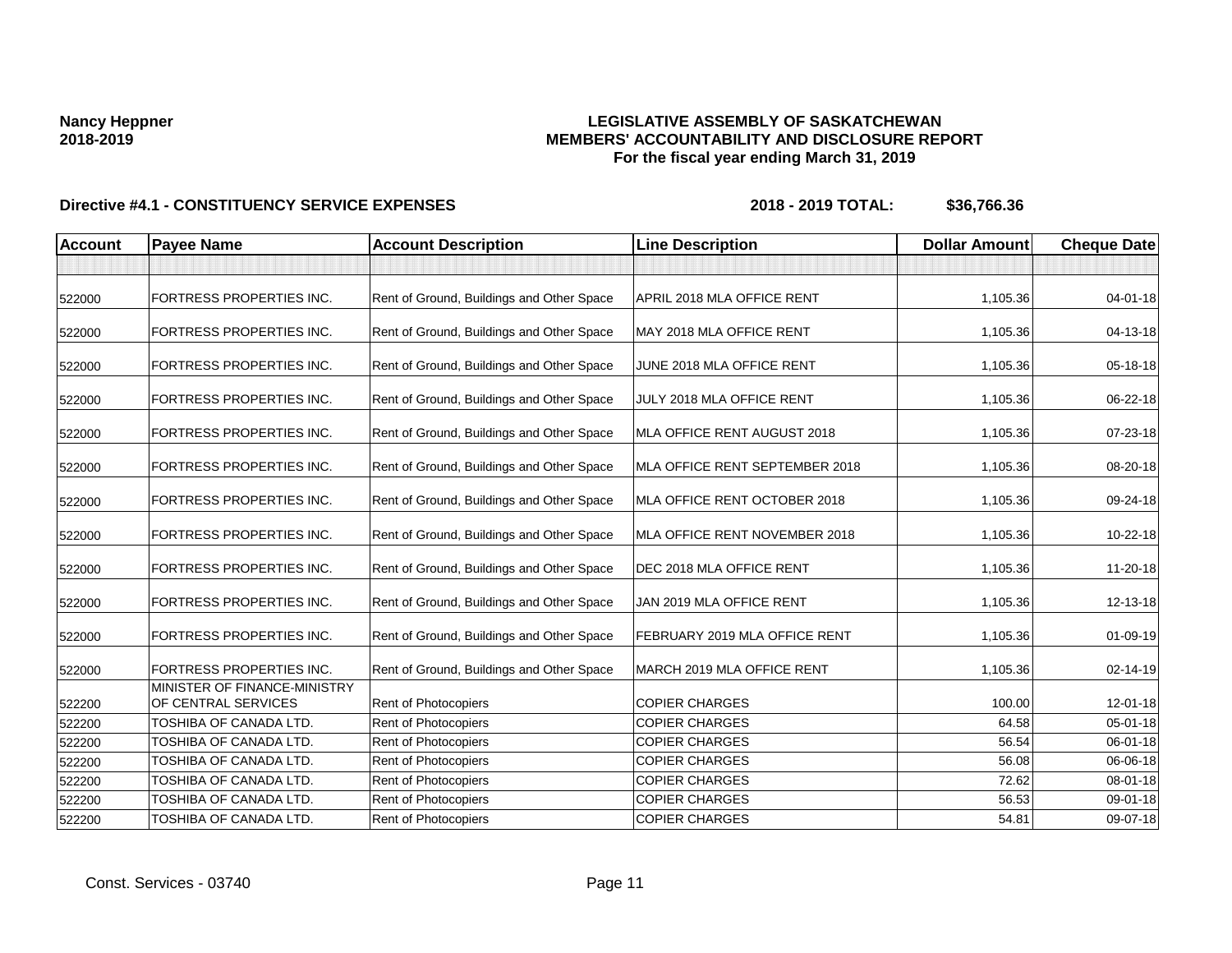## **LEGISLATIVE ASSEMBLY OF SASKATCHEWAN MEMBERS' ACCOUNTABILITY AND DISCLOSURE REPORT For the fiscal year ending March 31, 2019**

| <b>Account</b> | <b>Payee Name</b>                                   | <b>Account Description</b>                | <b>Line Description</b>        | <b>Dollar Amount</b> | <b>Cheque Date</b> |
|----------------|-----------------------------------------------------|-------------------------------------------|--------------------------------|----------------------|--------------------|
|                |                                                     |                                           |                                |                      |                    |
| 522000         | <b>FORTRESS PROPERTIES INC.</b>                     | Rent of Ground, Buildings and Other Space | APRIL 2018 MLA OFFICE RENT     | 1,105.36             | $04 - 01 - 18$     |
| 522000         | <b>FORTRESS PROPERTIES INC.</b>                     | Rent of Ground, Buildings and Other Space | MAY 2018 MLA OFFICE RENT       | 1,105.36             | 04-13-18           |
| 522000         | <b>FORTRESS PROPERTIES INC.</b>                     | Rent of Ground, Buildings and Other Space | JUNE 2018 MLA OFFICE RENT      | 1,105.36             | 05-18-18           |
| 522000         | <b>FORTRESS PROPERTIES INC.</b>                     | Rent of Ground, Buildings and Other Space | JULY 2018 MLA OFFICE RENT      | 1,105.36             | 06-22-18           |
| 522000         | <b>FORTRESS PROPERTIES INC.</b>                     | Rent of Ground, Buildings and Other Space | MLA OFFICE RENT AUGUST 2018    | 1,105.36             | 07-23-18           |
| 522000         | <b>FORTRESS PROPERTIES INC.</b>                     | Rent of Ground, Buildings and Other Space | MLA OFFICE RENT SEPTEMBER 2018 | 1,105.36             | 08-20-18           |
| 522000         | <b>FORTRESS PROPERTIES INC.</b>                     | Rent of Ground, Buildings and Other Space | MLA OFFICE RENT OCTOBER 2018   | 1,105.36             | 09-24-18           |
| 522000         | <b>FORTRESS PROPERTIES INC.</b>                     | Rent of Ground, Buildings and Other Space | MLA OFFICE RENT NOVEMBER 2018  | 1,105.36             | 10-22-18           |
| 522000         | <b>FORTRESS PROPERTIES INC.</b>                     | Rent of Ground, Buildings and Other Space | DEC 2018 MLA OFFICE RENT       | 1,105.36             | 11-20-18           |
| 522000         | <b>FORTRESS PROPERTIES INC.</b>                     | Rent of Ground, Buildings and Other Space | JAN 2019 MLA OFFICE RENT       | 1,105.36             | 12-13-18           |
| 522000         | <b>FORTRESS PROPERTIES INC.</b>                     | Rent of Ground, Buildings and Other Space | FEBRUARY 2019 MLA OFFICE RENT  | 1,105.36             | $01 - 09 - 19$     |
| 522000         | <b>FORTRESS PROPERTIES INC.</b>                     | Rent of Ground, Buildings and Other Space | MARCH 2019 MLA OFFICE RENT     | 1,105.36             | 02-14-19           |
| 522200         | MINISTER OF FINANCE-MINISTRY<br>OF CENTRAL SERVICES | Rent of Photocopiers                      | <b>COPIER CHARGES</b>          | 100.00               | $12 - 01 - 18$     |
| 522200         | TOSHIBA OF CANADA LTD.                              | <b>Rent of Photocopiers</b>               | <b>COPIER CHARGES</b>          | 64.58                | $05 - 01 - 18$     |
| 522200         | TOSHIBA OF CANADA LTD.                              | Rent of Photocopiers                      | <b>COPIER CHARGES</b>          | 56.54                | 06-01-18           |
| 522200         | TOSHIBA OF CANADA LTD.                              | Rent of Photocopiers                      | <b>COPIER CHARGES</b>          | 56.08                | 06-06-18           |
| 522200         | TOSHIBA OF CANADA LTD.                              | Rent of Photocopiers                      | <b>COPIER CHARGES</b>          | 72.62                | 08-01-18           |
| 522200         | TOSHIBA OF CANADA LTD.                              | <b>Rent of Photocopiers</b>               | <b>COPIER CHARGES</b>          | 56.53                | 09-01-18           |
| 522200         | TOSHIBA OF CANADA LTD.                              | Rent of Photocopiers                      | <b>COPIER CHARGES</b>          | 54.81                | 09-07-18           |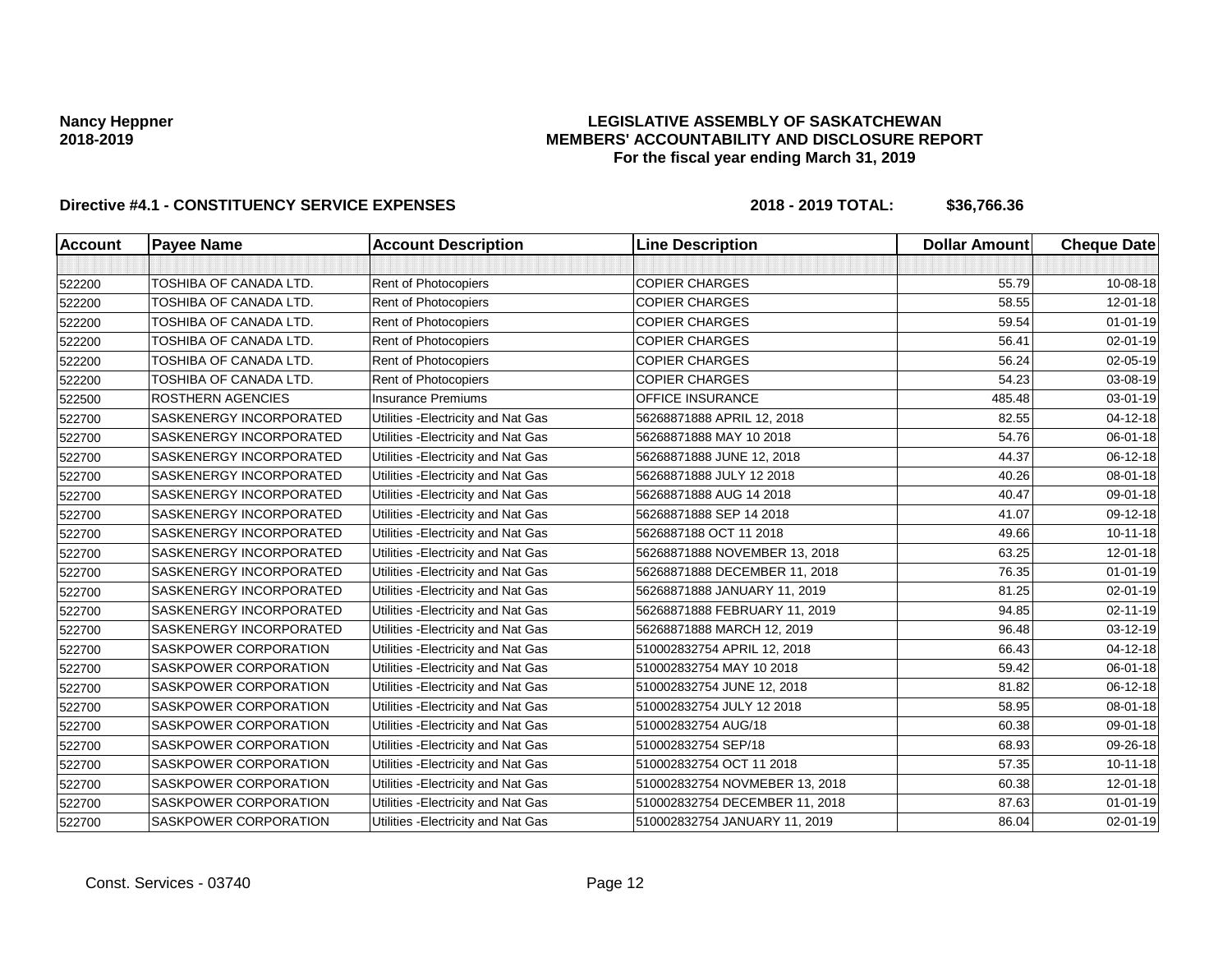## **LEGISLATIVE ASSEMBLY OF SASKATCHEWAN MEMBERS' ACCOUNTABILITY AND DISCLOSURE REPORT For the fiscal year ending March 31, 2019**

| <b>Account</b> | <b>Payee Name</b>        | <b>Account Description</b>          | <b>Line Description</b>        | <b>Dollar Amount</b> | <b>Cheque Date</b> |
|----------------|--------------------------|-------------------------------------|--------------------------------|----------------------|--------------------|
|                |                          |                                     |                                |                      |                    |
| 522200         | TOSHIBA OF CANADA LTD.   | Rent of Photocopiers                | <b>COPIER CHARGES</b>          | 55.79                | 10-08-18           |
| 522200         | TOSHIBA OF CANADA LTD.   | Rent of Photocopiers                | <b>COPIER CHARGES</b>          | 58.55                | 12-01-18           |
| 522200         | TOSHIBA OF CANADA LTD.   | Rent of Photocopiers                | <b>COPIER CHARGES</b>          | 59.54                | $01 - 01 - 19$     |
| 522200         | TOSHIBA OF CANADA LTD.   | Rent of Photocopiers                | <b>COPIER CHARGES</b>          | 56.41                | 02-01-19           |
| 522200         | TOSHIBA OF CANADA LTD.   | Rent of Photocopiers                | <b>COPIER CHARGES</b>          | 56.24                | 02-05-19           |
| 522200         | TOSHIBA OF CANADA LTD.   | Rent of Photocopiers                | <b>COPIER CHARGES</b>          | 54.23                | 03-08-19           |
| 522500         | <b>ROSTHERN AGENCIES</b> | <b>Insurance Premiums</b>           | OFFICE INSURANCE               | 485.48               | 03-01-19           |
| 522700         | SASKENERGY INCORPORATED  | Utilities - Electricity and Nat Gas | 56268871888 APRIL 12, 2018     | 82.55                | 04-12-18           |
| 522700         | SASKENERGY INCORPORATED  | Utilities - Electricity and Nat Gas | 56268871888 MAY 10 2018        | 54.76                | 06-01-18           |
| 522700         | SASKENERGY INCORPORATED  | Utilities - Electricity and Nat Gas | 56268871888 JUNE 12, 2018      | 44.37                | 06-12-18           |
| 522700         | SASKENERGY INCORPORATED  | Utilities - Electricity and Nat Gas | 56268871888 JULY 12 2018       | 40.26                | 08-01-18           |
| 522700         | SASKENERGY INCORPORATED  | Utilities - Electricity and Nat Gas | 56268871888 AUG 14 2018        | 40.47                | 09-01-18           |
| 522700         | SASKENERGY INCORPORATED  | Utilities - Electricity and Nat Gas | 56268871888 SEP 14 2018        | 41.07                | 09-12-18           |
| 522700         | SASKENERGY INCORPORATED  | Utilities - Electricity and Nat Gas | 5626887188 OCT 11 2018         | 49.66                | $10 - 11 - 18$     |
| 522700         | SASKENERGY INCORPORATED  | Utilities - Electricity and Nat Gas | 56268871888 NOVEMBER 13, 2018  | 63.25                | 12-01-18           |
| 522700         | SASKENERGY INCORPORATED  | Utilities - Electricity and Nat Gas | 56268871888 DECEMBER 11, 2018  | 76.35                | $01 - 01 - 19$     |
| 522700         | SASKENERGY INCORPORATED  | Utilities - Electricity and Nat Gas | 56268871888 JANUARY 11, 2019   | 81.25                | 02-01-19           |
| 522700         | SASKENERGY INCORPORATED  | Utilities - Electricity and Nat Gas | 56268871888 FEBRUARY 11, 2019  | 94.85                | 02-11-19           |
| 522700         | SASKENERGY INCORPORATED  | Utilities - Electricity and Nat Gas | 56268871888 MARCH 12, 2019     | 96.48                | 03-12-19           |
| 522700         | SASKPOWER CORPORATION    | Utilities - Electricity and Nat Gas | 510002832754 APRIL 12, 2018    | 66.43                | 04-12-18           |
| 522700         | SASKPOWER CORPORATION    | Utilities - Electricity and Nat Gas | 510002832754 MAY 10 2018       | 59.42                | 06-01-18           |
| 522700         | SASKPOWER CORPORATION    | Utilities - Electricity and Nat Gas | 510002832754 JUNE 12, 2018     | 81.82                | $06-12-18$         |
| 522700         | SASKPOWER CORPORATION    | Utilities - Electricity and Nat Gas | 510002832754 JULY 12 2018      | 58.95                | 08-01-18           |
| 522700         | SASKPOWER CORPORATION    | Utilities - Electricity and Nat Gas | 510002832754 AUG/18            | 60.38                | 09-01-18           |
| 522700         | SASKPOWER CORPORATION    | Utilities - Electricity and Nat Gas | 510002832754 SEP/18            | 68.93                | 09-26-18           |
| 522700         | SASKPOWER CORPORATION    | Utilities - Electricity and Nat Gas | 510002832754 OCT 11 2018       | 57.35                | $10 - 11 - 18$     |
| 522700         | SASKPOWER CORPORATION    | Utilities - Electricity and Nat Gas | 510002832754 NOVMEBER 13, 2018 | 60.38                | $12 - 01 - 18$     |
| 522700         | SASKPOWER CORPORATION    | Utilities - Electricity and Nat Gas | 510002832754 DECEMBER 11, 2018 | 87.63                | $01 - 01 - 19$     |
| 522700         | SASKPOWER CORPORATION    | Utilities - Electricity and Nat Gas | 510002832754 JANUARY 11, 2019  | 86.04                | 02-01-19           |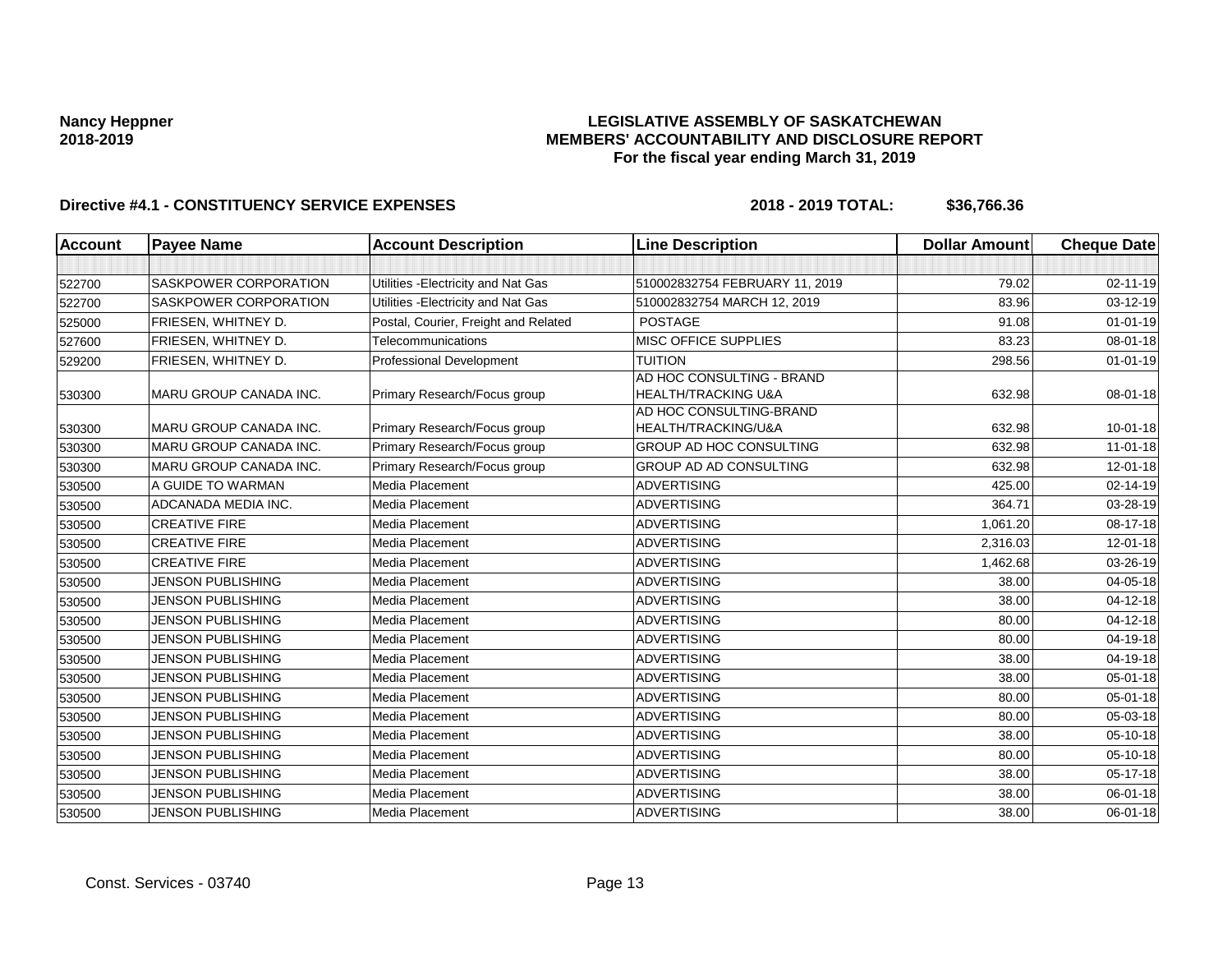## **LEGISLATIVE ASSEMBLY OF SASKATCHEWAN MEMBERS' ACCOUNTABILITY AND DISCLOSURE REPORT For the fiscal year ending March 31, 2019**

| <b>Account</b> | <b>Payee Name</b>             | <b>Account Description</b>           | <b>Line Description</b>                                     | <b>Dollar Amount</b> | <b>Cheque Date</b> |
|----------------|-------------------------------|--------------------------------------|-------------------------------------------------------------|----------------------|--------------------|
|                |                               |                                      |                                                             |                      |                    |
| 522700         | <b>SASKPOWER CORPORATION</b>  | Utilities - Electricity and Nat Gas  | 510002832754 FEBRUARY 11, 2019                              | 79.02                | $02 - 11 - 19$     |
| 522700         | SASKPOWER CORPORATION         | Utilities - Electricity and Nat Gas  | 510002832754 MARCH 12, 2019                                 | 83.96                | $03 - 12 - 19$     |
| 525000         | FRIESEN, WHITNEY D.           | Postal, Courier, Freight and Related | <b>POSTAGE</b>                                              | 91.08                | $01 - 01 - 19$     |
| 527600         | FRIESEN, WHITNEY D.           | Telecommunications                   | MISC OFFICE SUPPLIES                                        | 83.23                | 08-01-18           |
| 529200         | FRIESEN, WHITNEY D.           | Professional Development             | <b>TUITION</b>                                              | 298.56               | $01 - 01 - 19$     |
| 530300         | MARU GROUP CANADA INC.        | Primary Research/Focus group         | AD HOC CONSULTING - BRAND<br><b>HEALTH/TRACKING U&amp;A</b> | 632.98               | 08-01-18           |
| 530300         | <b>MARU GROUP CANADA INC.</b> | Primary Research/Focus group         | AD HOC CONSULTING-BRAND<br>HEALTH/TRACKING/U&A              | 632.98               | $10 - 01 - 18$     |
| 530300         | <b>MARU GROUP CANADA INC.</b> | Primary Research/Focus group         | GROUP AD HOC CONSULTING                                     | 632.98               | 11-01-18           |
| 530300         | <b>MARU GROUP CANADA INC.</b> | Primary Research/Focus group         | GROUP AD AD CONSULTING                                      | 632.98               | 12-01-18           |
| 530500         | A GUIDE TO WARMAN             | Media Placement                      | <b>ADVERTISING</b>                                          | 425.00               | 02-14-19           |
| 530500         | ADCANADA MEDIA INC.           | Media Placement                      | <b>ADVERTISING</b>                                          | 364.71               | 03-28-19           |
| 530500         | <b>CREATIVE FIRE</b>          | Media Placement                      | <b>ADVERTISING</b>                                          | 1,061.20             | 08-17-18           |
| 530500         | <b>CREATIVE FIRE</b>          | <b>Media Placement</b>               | <b>ADVERTISING</b>                                          | 2,316.03             | 12-01-18           |
| 530500         | <b>CREATIVE FIRE</b>          | Media Placement                      | <b>ADVERTISING</b>                                          | 1,462.68             | 03-26-19           |
| 530500         | <b>JENSON PUBLISHING</b>      | Media Placement                      | <b>ADVERTISING</b>                                          | 38.00                | $04 - 05 - 18$     |
| 530500         | <b>JENSON PUBLISHING</b>      | Media Placement                      | <b>ADVERTISING</b>                                          | 38.00                | $04 - 12 - 18$     |
| 530500         | <b>JENSON PUBLISHING</b>      | Media Placement                      | <b>ADVERTISING</b>                                          | 80.00                | $04 - 12 - 18$     |
| 530500         | <b>JENSON PUBLISHING</b>      | Media Placement                      | <b>ADVERTISING</b>                                          | 80.00                | 04-19-18           |
| 530500         | <b>JENSON PUBLISHING</b>      | Media Placement                      | <b>ADVERTISING</b>                                          | 38.00                | 04-19-18           |
| 530500         | <b>JENSON PUBLISHING</b>      | Media Placement                      | <b>ADVERTISING</b>                                          | 38.00                | $05 - 01 - 18$     |
| 530500         | <b>JENSON PUBLISHING</b>      | Media Placement                      | <b>ADVERTISING</b>                                          | 80.00                | $05 - 01 - 18$     |
| 530500         | <b>JENSON PUBLISHING</b>      | Media Placement                      | <b>ADVERTISING</b>                                          | 80.00                | 05-03-18           |
| 530500         | <b>JENSON PUBLISHING</b>      | Media Placement                      | <b>ADVERTISING</b>                                          | 38.00                | 05-10-18           |
| 530500         | <b>JENSON PUBLISHING</b>      | Media Placement                      | <b>ADVERTISING</b>                                          | 80.00                | 05-10-18           |
| 530500         | <b>JENSON PUBLISHING</b>      | Media Placement                      | <b>ADVERTISING</b>                                          | 38.00                | $05 - 17 - 18$     |
| 530500         | <b>JENSON PUBLISHING</b>      | Media Placement                      | <b>ADVERTISING</b>                                          | 38.00                | 06-01-18           |
| 530500         | <b>JENSON PUBLISHING</b>      | Media Placement                      | <b>ADVERTISING</b>                                          | 38.00                | $06 - 01 - 18$     |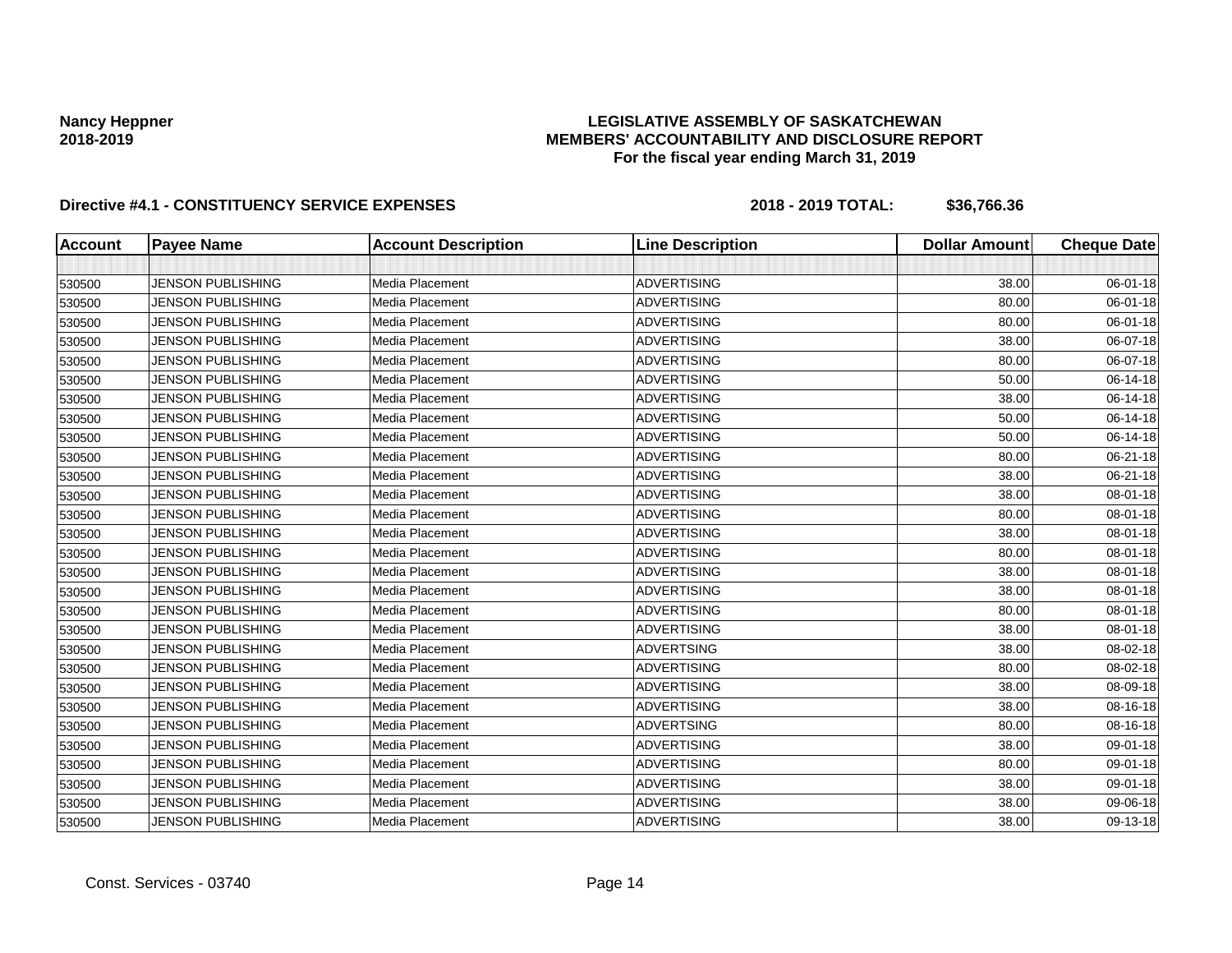## **LEGISLATIVE ASSEMBLY OF SASKATCHEWAN MEMBERS' ACCOUNTABILITY AND DISCLOSURE REPORT For the fiscal year ending March 31, 2019**

| <b>Account</b> | <b>Payee Name</b>        | <b>Account Description</b> | <b>Line Description</b> | <b>Dollar Amount</b> | <b>Cheque Date</b> |
|----------------|--------------------------|----------------------------|-------------------------|----------------------|--------------------|
|                |                          |                            |                         |                      |                    |
| 530500         | <b>JENSON PUBLISHING</b> | Media Placement            | <b>ADVERTISING</b>      | 38.00                | 06-01-18           |
| 530500         | <b>JENSON PUBLISHING</b> | Media Placement            | <b>ADVERTISING</b>      | 80.00                | 06-01-18           |
| 530500         | <b>JENSON PUBLISHING</b> | <b>Media Placement</b>     | <b>ADVERTISING</b>      | 80.00                | 06-01-18           |
| 530500         | <b>JENSON PUBLISHING</b> | Media Placement            | <b>ADVERTISING</b>      | 38.00                | 06-07-18           |
| 530500         | <b>JENSON PUBLISHING</b> | <b>Media Placement</b>     | <b>ADVERTISING</b>      | 80.00                | 06-07-18           |
| 530500         | <b>JENSON PUBLISHING</b> | <b>Media Placement</b>     | <b>ADVERTISING</b>      | 50.00                | 06-14-18           |
| 530500         | <b>JENSON PUBLISHING</b> | Media Placement            | <b>ADVERTISING</b>      | 38.00                | 06-14-18           |
| 530500         | <b>JENSON PUBLISHING</b> | Media Placement            | <b>ADVERTISING</b>      | 50.00                | 06-14-18           |
| 530500         | <b>JENSON PUBLISHING</b> | Media Placement            | <b>ADVERTISING</b>      | 50.00                | 06-14-18           |
| 530500         | JENSON PUBLISHING        | Media Placement            | <b>ADVERTISING</b>      | 80.00                | 06-21-18           |
| 530500         | <b>JENSON PUBLISHING</b> | Media Placement            | <b>ADVERTISING</b>      | 38.00                | 06-21-18           |
| 530500         | <b>JENSON PUBLISHING</b> | Media Placement            | <b>ADVERTISING</b>      | 38.00                | 08-01-18           |
| 530500         | <b>JENSON PUBLISHING</b> | <b>Media Placement</b>     | <b>ADVERTISING</b>      | 80.00                | 08-01-18           |
| 530500         | <b>JENSON PUBLISHING</b> | Media Placement            | <b>ADVERTISING</b>      | 38.00                | 08-01-18           |
| 530500         | <b>JENSON PUBLISHING</b> | Media Placement            | <b>ADVERTISING</b>      | 80.00                | 08-01-18           |
| 530500         | <b>JENSON PUBLISHING</b> | Media Placement            | <b>ADVERTISING</b>      | 38.00                | 08-01-18           |
| 530500         | <b>JENSON PUBLISHING</b> | Media Placement            | <b>ADVERTISING</b>      | 38.00                | 08-01-18           |
| 530500         | <b>JENSON PUBLISHING</b> | Media Placement            | <b>ADVERTISING</b>      | 80.00                | 08-01-18           |
| 530500         | <b>JENSON PUBLISHING</b> | <b>Media Placement</b>     | <b>ADVERTISING</b>      | 38.00                | 08-01-18           |
| 530500         | <b>JENSON PUBLISHING</b> | Media Placement            | <b>ADVERTSING</b>       | 38.00                | 08-02-18           |
| 530500         | <b>JENSON PUBLISHING</b> | Media Placement            | <b>ADVERTISING</b>      | 80.00                | 08-02-18           |
| 530500         | <b>JENSON PUBLISHING</b> | Media Placement            | <b>ADVERTISING</b>      | 38.00                | 08-09-18           |
| 530500         | JENSON PUBLISHING        | Media Placement            | <b>ADVERTISING</b>      | 38.00                | 08-16-18           |
| 530500         | <b>JENSON PUBLISHING</b> | Media Placement            | <b>ADVERTSING</b>       | 80.00                | 08-16-18           |
| 530500         | <b>JENSON PUBLISHING</b> | Media Placement            | <b>ADVERTISING</b>      | 38.00                | 09-01-18           |
| 530500         | <b>JENSON PUBLISHING</b> | <b>Media Placement</b>     | <b>ADVERTISING</b>      | 80.00                | 09-01-18           |
| 530500         | <b>JENSON PUBLISHING</b> | Media Placement            | <b>ADVERTISING</b>      | 38.00                | 09-01-18           |
| 530500         | <b>JENSON PUBLISHING</b> | Media Placement            | <b>ADVERTISING</b>      | 38.00                | 09-06-18           |
| 530500         | <b>JENSON PUBLISHING</b> | Media Placement            | <b>ADVERTISING</b>      | 38.00                | 09-13-18           |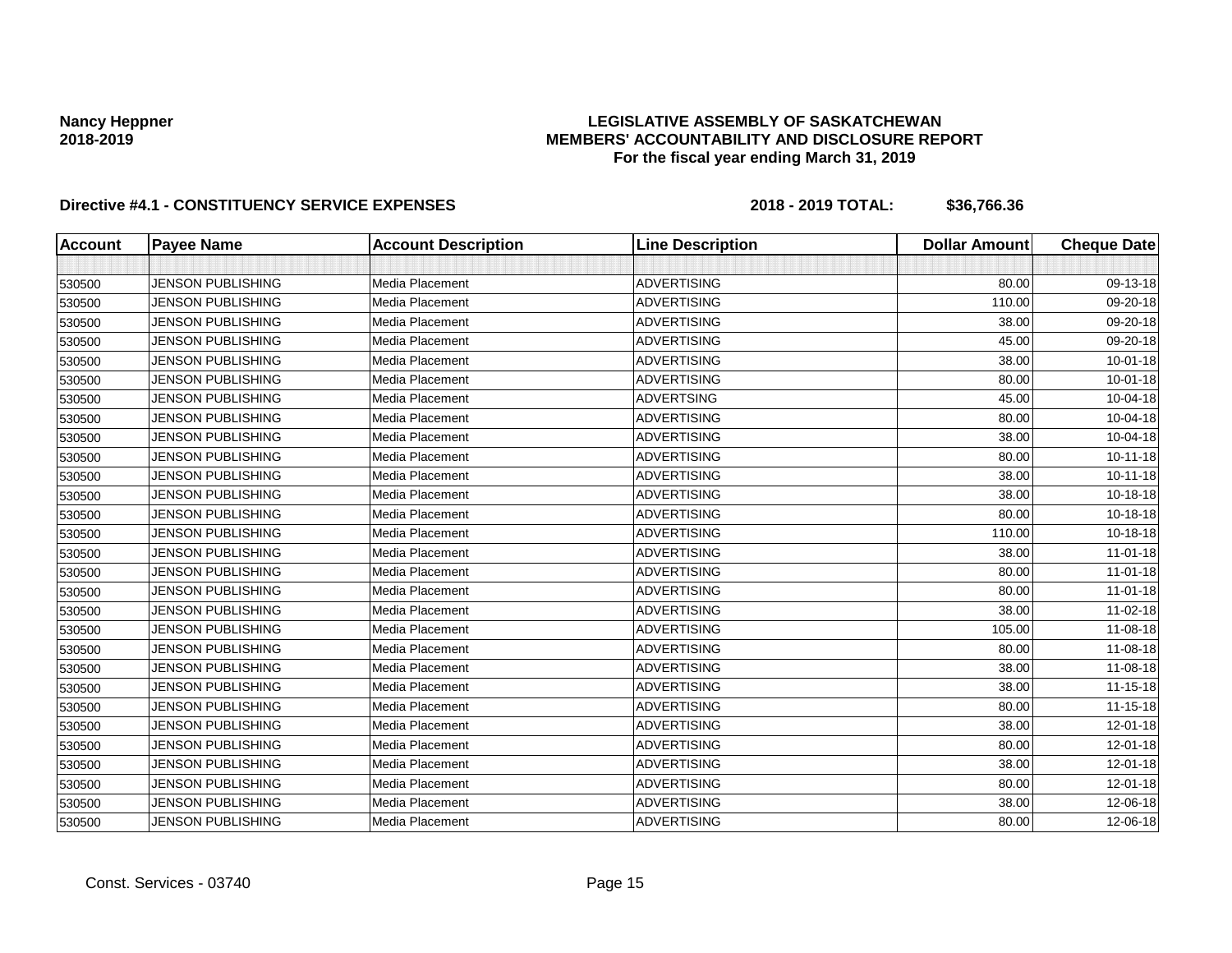## **LEGISLATIVE ASSEMBLY OF SASKATCHEWAN MEMBERS' ACCOUNTABILITY AND DISCLOSURE REPORT For the fiscal year ending March 31, 2019**

| <b>Account</b> | <b>Payee Name</b>        | <b>Account Description</b> | <b>Line Description</b> | <b>Dollar Amount</b> | <b>Cheque Date</b> |
|----------------|--------------------------|----------------------------|-------------------------|----------------------|--------------------|
|                |                          |                            |                         |                      |                    |
| 530500         | <b>JENSON PUBLISHING</b> | Media Placement            | <b>ADVERTISING</b>      | 80.00                | 09-13-18           |
| 530500         | <b>JENSON PUBLISHING</b> | Media Placement            | <b>ADVERTISING</b>      | 110.00               | 09-20-18           |
| 530500         | <b>JENSON PUBLISHING</b> | <b>Media Placement</b>     | <b>ADVERTISING</b>      | 38.00                | 09-20-18           |
| 530500         | <b>JENSON PUBLISHING</b> | Media Placement            | <b>ADVERTISING</b>      | 45.00                | 09-20-18           |
| 530500         | <b>JENSON PUBLISHING</b> | <b>Media Placement</b>     | <b>ADVERTISING</b>      | 38.00                | $10 - 01 - 18$     |
| 530500         | <b>JENSON PUBLISHING</b> | <b>Media Placement</b>     | <b>ADVERTISING</b>      | 80.00                | $10 - 01 - 18$     |
| 530500         | <b>JENSON PUBLISHING</b> | Media Placement            | <b>ADVERTSING</b>       | 45.00                | 10-04-18           |
| 530500         | <b>JENSON PUBLISHING</b> | Media Placement            | <b>ADVERTISING</b>      | 80.00                | 10-04-18           |
| 530500         | <b>JENSON PUBLISHING</b> | Media Placement            | <b>ADVERTISING</b>      | 38.00                | 10-04-18           |
| 530500         | JENSON PUBLISHING        | Media Placement            | <b>ADVERTISING</b>      | 80.00                | $10 - 11 - 18$     |
| 530500         | <b>JENSON PUBLISHING</b> | Media Placement            | <b>ADVERTISING</b>      | 38.00                | $10 - 11 - 18$     |
| 530500         | <b>JENSON PUBLISHING</b> | Media Placement            | <b>ADVERTISING</b>      | 38.00                | 10-18-18           |
| 530500         | <b>JENSON PUBLISHING</b> | Media Placement            | <b>ADVERTISING</b>      | 80.00                | 10-18-18           |
| 530500         | <b>JENSON PUBLISHING</b> | Media Placement            | <b>ADVERTISING</b>      | 110.00               | 10-18-18           |
| 530500         | <b>JENSON PUBLISHING</b> | Media Placement            | <b>ADVERTISING</b>      | 38.00                | $11-01-18$         |
| 530500         | <b>JENSON PUBLISHING</b> | Media Placement            | <b>ADVERTISING</b>      | 80.00                | $11-01-18$         |
| 530500         | <b>JENSON PUBLISHING</b> | Media Placement            | <b>ADVERTISING</b>      | 80.00                | $11-01-18$         |
| 530500         | <b>JENSON PUBLISHING</b> | Media Placement            | <b>ADVERTISING</b>      | 38.00                | 11-02-18           |
| 530500         | <b>JENSON PUBLISHING</b> | Media Placement            | <b>ADVERTISING</b>      | 105.00               | 11-08-18           |
| 530500         | <b>JENSON PUBLISHING</b> | Media Placement            | <b>ADVERTISING</b>      | 80.00                | 11-08-18           |
| 530500         | <b>JENSON PUBLISHING</b> | Media Placement            | <b>ADVERTISING</b>      | 38.00                | 11-08-18           |
| 530500         | <b>JENSON PUBLISHING</b> | Media Placement            | <b>ADVERTISING</b>      | 38.00                | 11-15-18           |
| 530500         | JENSON PUBLISHING        | Media Placement            | <b>ADVERTISING</b>      | 80.00                | $11 - 15 - 18$     |
| 530500         | <b>JENSON PUBLISHING</b> | Media Placement            | <b>ADVERTISING</b>      | 38.00                | 12-01-18           |
| 530500         | <b>JENSON PUBLISHING</b> | Media Placement            | <b>ADVERTISING</b>      | 80.00                | 12-01-18           |
| 530500         | <b>JENSON PUBLISHING</b> | Media Placement            | <b>ADVERTISING</b>      | 38.00                | 12-01-18           |
| 530500         | <b>JENSON PUBLISHING</b> | Media Placement            | <b>ADVERTISING</b>      | 80.00                | 12-01-18           |
| 530500         | <b>JENSON PUBLISHING</b> | Media Placement            | <b>ADVERTISING</b>      | 38.00                | 12-06-18           |
| 530500         | <b>JENSON PUBLISHING</b> | Media Placement            | <b>ADVERTISING</b>      | 80.00                | 12-06-18           |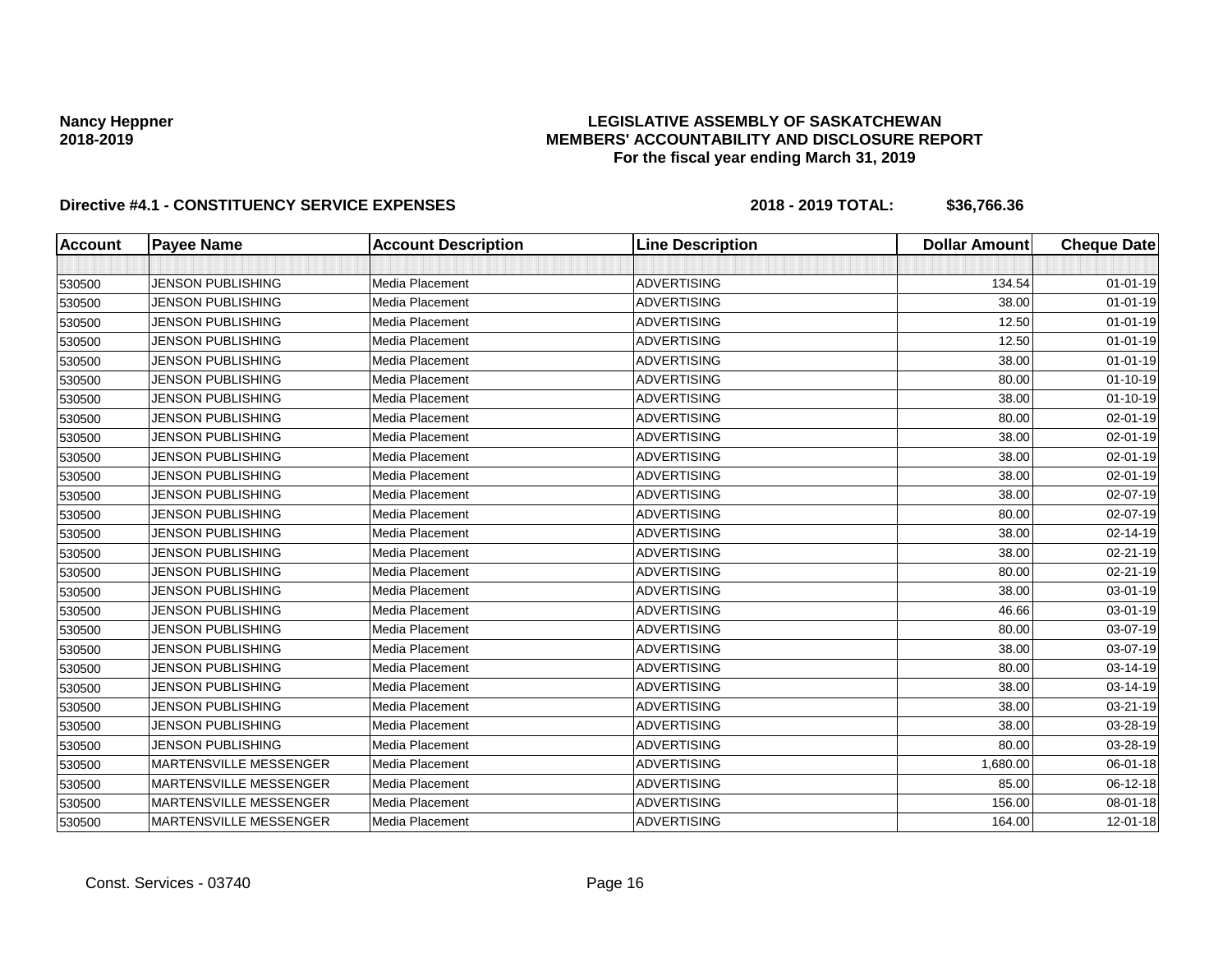## **LEGISLATIVE ASSEMBLY OF SASKATCHEWAN MEMBERS' ACCOUNTABILITY AND DISCLOSURE REPORT For the fiscal year ending March 31, 2019**

| <b>Account</b> | <b>Payee Name</b>             | <b>Account Description</b> | <b>Line Description</b> | <b>Dollar Amount</b> | <b>Cheque Date</b> |
|----------------|-------------------------------|----------------------------|-------------------------|----------------------|--------------------|
|                |                               |                            |                         |                      |                    |
| 530500         | <b>JENSON PUBLISHING</b>      | Media Placement            | <b>ADVERTISING</b>      | 134.54               | $01 - 01 - 19$     |
| 530500         | <b>JENSON PUBLISHING</b>      | Media Placement            | <b>ADVERTISING</b>      | 38.00                | $01 - 01 - 19$     |
| 530500         | <b>JENSON PUBLISHING</b>      | Media Placement            | <b>ADVERTISING</b>      | 12.50                | $01 - 01 - 19$     |
| 530500         | JENSON PUBLISHING             | Media Placement            | <b>ADVERTISING</b>      | 12.50                | $01 - 01 - 19$     |
| 530500         | <b>JENSON PUBLISHING</b>      | Media Placement            | <b>ADVERTISING</b>      | 38.00                | $01 - 01 - 19$     |
| 530500         | <b>JENSON PUBLISHING</b>      | Media Placement            | <b>ADVERTISING</b>      | 80.00                | $01 - 10 - 19$     |
| 530500         | <b>JENSON PUBLISHING</b>      | Media Placement            | <b>ADVERTISING</b>      | 38.00                | $01 - 10 - 19$     |
| 530500         | <b>JENSON PUBLISHING</b>      | Media Placement            | <b>ADVERTISING</b>      | 80.00                | 02-01-19           |
| 530500         | <b>JENSON PUBLISHING</b>      | Media Placement            | <b>ADVERTISING</b>      | 38.00                | 02-01-19           |
| 530500         | <b>JENSON PUBLISHING</b>      | Media Placement            | <b>ADVERTISING</b>      | 38.00                | 02-01-19           |
| 530500         | <b>JENSON PUBLISHING</b>      | Media Placement            | <b>ADVERTISING</b>      | 38.00                | 02-01-19           |
| 530500         | <b>JENSON PUBLISHING</b>      | Media Placement            | <b>ADVERTISING</b>      | 38.00                | 02-07-19           |
| 530500         | <b>JENSON PUBLISHING</b>      | Media Placement            | <b>ADVERTISING</b>      | 80.00                | 02-07-19           |
| 530500         | <b>JENSON PUBLISHING</b>      | Media Placement            | <b>ADVERTISING</b>      | 38.00                | 02-14-19           |
| 530500         | <b>JENSON PUBLISHING</b>      | Media Placement            | <b>ADVERTISING</b>      | 38.00                | 02-21-19           |
| 530500         | <b>JENSON PUBLISHING</b>      | Media Placement            | <b>ADVERTISING</b>      | 80.00                | 02-21-19           |
| 530500         | <b>JENSON PUBLISHING</b>      | Media Placement            | <b>ADVERTISING</b>      | 38.00                | 03-01-19           |
| 530500         | <b>JENSON PUBLISHING</b>      | Media Placement            | <b>ADVERTISING</b>      | 46.66                | 03-01-19           |
| 530500         | <b>JENSON PUBLISHING</b>      | Media Placement            | <b>ADVERTISING</b>      | 80.00                | 03-07-19           |
| 530500         | JENSON PUBLISHING             | Media Placement            | <b>ADVERTISING</b>      | 38.00                | 03-07-19           |
| 530500         | <b>JENSON PUBLISHING</b>      | Media Placement            | <b>ADVERTISING</b>      | 80.00                | 03-14-19           |
| 530500         | <b>JENSON PUBLISHING</b>      | Media Placement            | <b>ADVERTISING</b>      | 38.00                | 03-14-19           |
| 530500         | <b>JENSON PUBLISHING</b>      | Media Placement            | <b>ADVERTISING</b>      | 38.00                | 03-21-19           |
| 530500         | <b>JENSON PUBLISHING</b>      | <b>Media Placement</b>     | <b>ADVERTISING</b>      | 38.00                | 03-28-19           |
| 530500         | <b>JENSON PUBLISHING</b>      | Media Placement            | <b>ADVERTISING</b>      | 80.00                | 03-28-19           |
| 530500         | MARTENSVILLE MESSENGER        | Media Placement            | <b>ADVERTISING</b>      | 1,680.00             | 06-01-18           |
| 530500         | MARTENSVILLE MESSENGER        | Media Placement            | <b>ADVERTISING</b>      | 85.00                | 06-12-18           |
| 530500         | <b>MARTENSVILLE MESSENGER</b> | Media Placement            | <b>ADVERTISING</b>      | 156.00               | 08-01-18           |
| 530500         | <b>MARTENSVILLE MESSENGER</b> | Media Placement            | <b>ADVERTISING</b>      | 164.00               | 12-01-18           |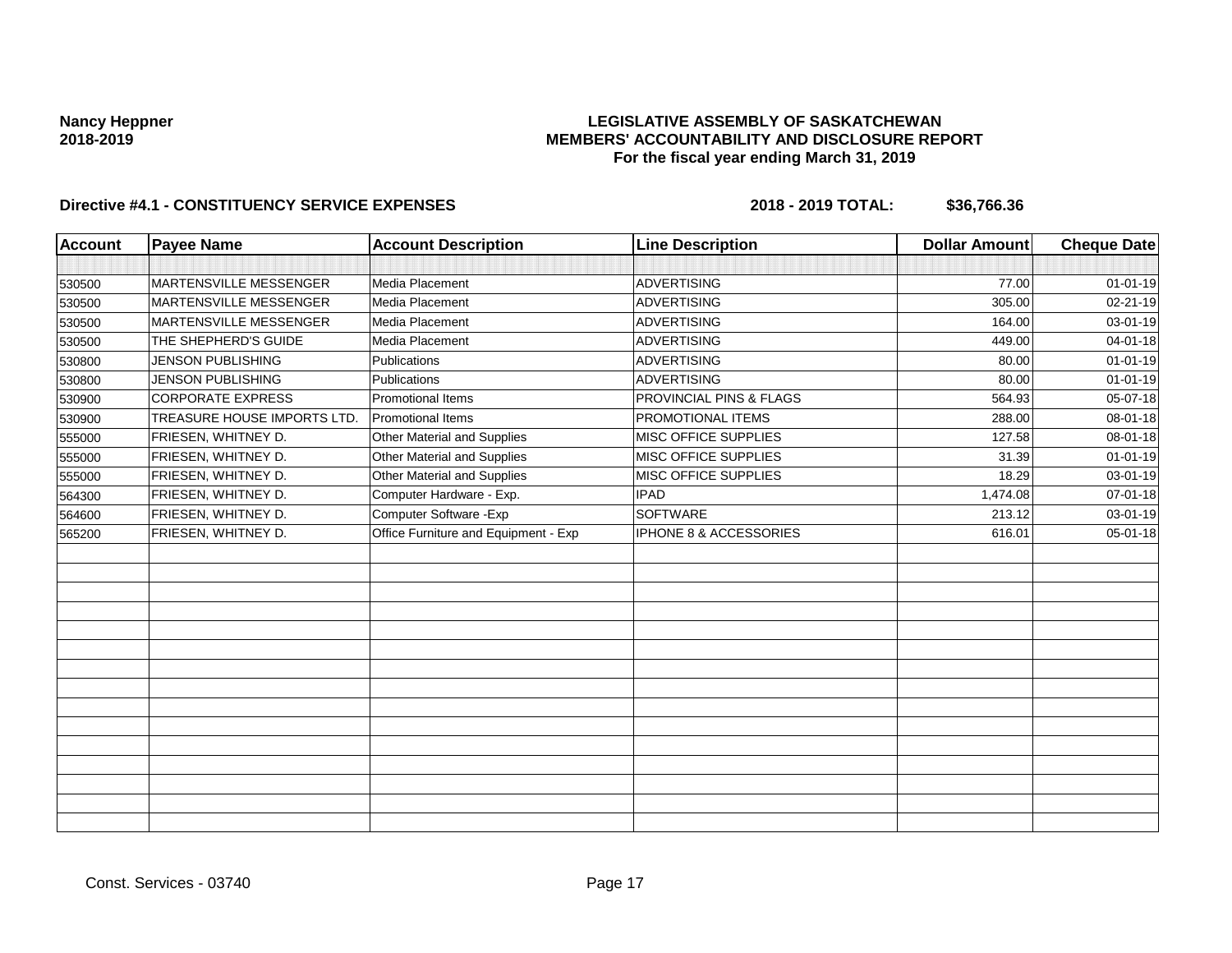## **LEGISLATIVE ASSEMBLY OF SASKATCHEWAN MEMBERS' ACCOUNTABILITY AND DISCLOSURE REPORT For the fiscal year ending March 31, 2019**

| <b>Account</b> | <b>Payee Name</b>             | <b>Account Description</b>           | <b>Line Description</b>            | <b>Dollar Amount</b> | <b>Cheque Date</b> |
|----------------|-------------------------------|--------------------------------------|------------------------------------|----------------------|--------------------|
|                |                               |                                      |                                    |                      |                    |
| 530500         | <b>MARTENSVILLE MESSENGER</b> | Media Placement                      | <b>ADVERTISING</b>                 | 77.00                | $01 - 01 - 19$     |
| 530500         | MARTENSVILLE MESSENGER        | Media Placement                      | <b>ADVERTISING</b>                 | 305.00               | 02-21-19           |
| 530500         | <b>MARTENSVILLE MESSENGER</b> | Media Placement                      | ADVERTISING                        | 164.00               | 03-01-19           |
| 530500         | THE SHEPHERD'S GUIDE          | Media Placement                      | <b>ADVERTISING</b>                 | 449.00               | 04-01-18           |
| 530800         | <b>JENSON PUBLISHING</b>      | Publications                         | <b>ADVERTISING</b>                 | 80.00                | $01 - 01 - 19$     |
| 530800         | <b>JENSON PUBLISHING</b>      | <b>Publications</b>                  | ADVERTISING                        | 80.00                | $01 - 01 - 19$     |
| 530900         | <b>CORPORATE EXPRESS</b>      | <b>Promotional Items</b>             | <b>PROVINCIAL PINS &amp; FLAGS</b> | 564.93               | 05-07-18           |
| 530900         | TREASURE HOUSE IMPORTS LTD.   | <b>Promotional Items</b>             | PROMOTIONAL ITEMS                  | 288.00               | 08-01-18           |
| 555000         | FRIESEN, WHITNEY D.           | Other Material and Supplies          | MISC OFFICE SUPPLIES               | 127.58               | 08-01-18           |
| 555000         | FRIESEN, WHITNEY D.           | Other Material and Supplies          | MISC OFFICE SUPPLIES               | 31.39                | $01 - 01 - 19$     |
| 555000         | FRIESEN, WHITNEY D.           | Other Material and Supplies          | MISC OFFICE SUPPLIES               | 18.29                | 03-01-19           |
| 564300         | FRIESEN, WHITNEY D.           | Computer Hardware - Exp.             | <b>IPAD</b>                        | 1,474.08             | 07-01-18           |
| 564600         | FRIESEN, WHITNEY D.           | Computer Software - Exp              | <b>SOFTWARE</b>                    | 213.12               | 03-01-19           |
| 565200         | FRIESEN, WHITNEY D.           | Office Furniture and Equipment - Exp | IPHONE 8 & ACCESSORIES             | 616.01               | $05 - 01 - 18$     |
|                |                               |                                      |                                    |                      |                    |
|                |                               |                                      |                                    |                      |                    |
|                |                               |                                      |                                    |                      |                    |
|                |                               |                                      |                                    |                      |                    |
|                |                               |                                      |                                    |                      |                    |
|                |                               |                                      |                                    |                      |                    |
|                |                               |                                      |                                    |                      |                    |
|                |                               |                                      |                                    |                      |                    |
|                |                               |                                      |                                    |                      |                    |
|                |                               |                                      |                                    |                      |                    |
|                |                               |                                      |                                    |                      |                    |
|                |                               |                                      |                                    |                      |                    |
|                |                               |                                      |                                    |                      |                    |
|                |                               |                                      |                                    |                      |                    |
|                |                               |                                      |                                    |                      |                    |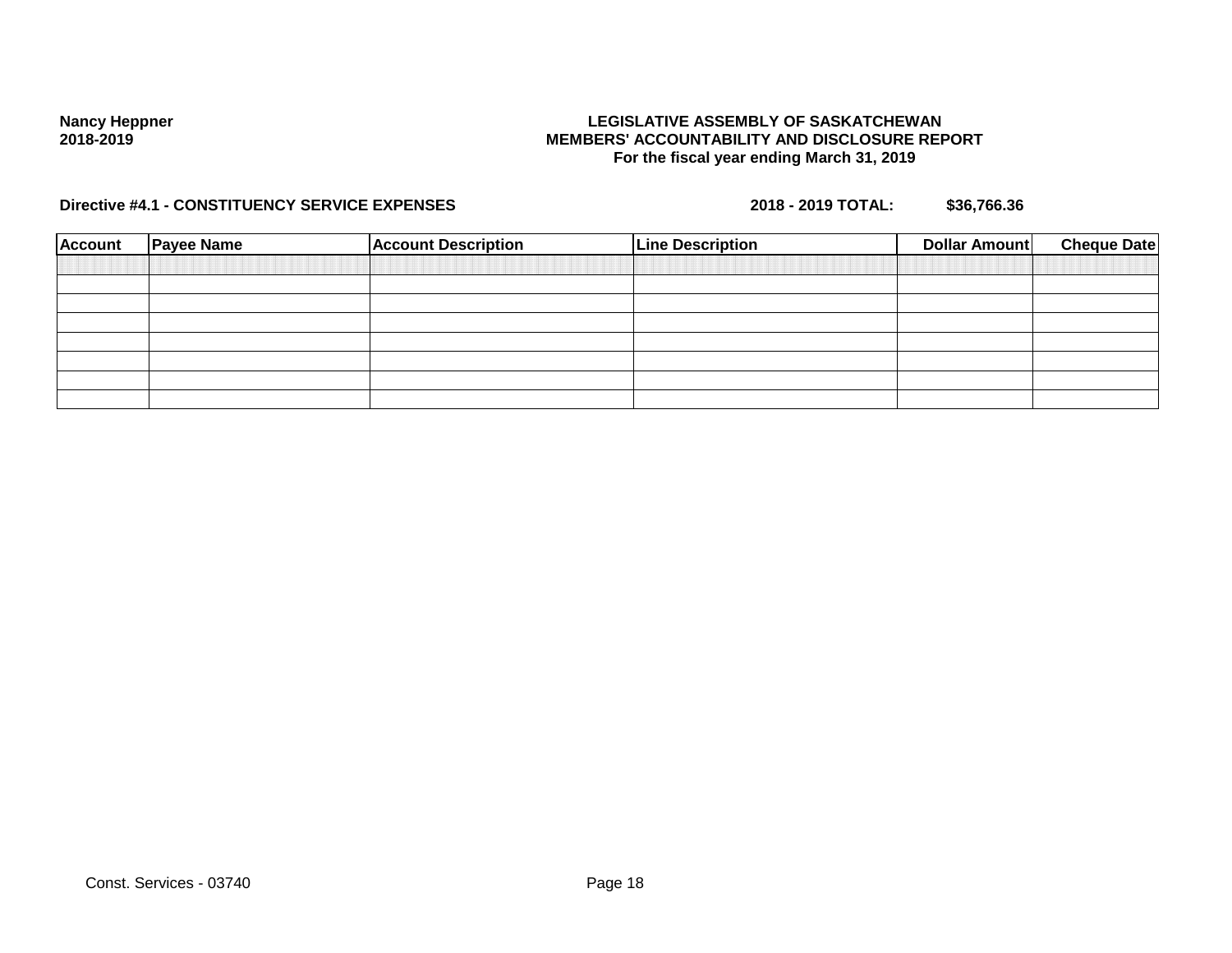## **LEGISLATIVE ASSEMBLY OF SASKATCHEWAN MEMBERS' ACCOUNTABILITY AND DISCLOSURE REPORT For the fiscal year ending March 31, 2019**

| <b>Account</b> | <b>Payee Name</b> | <b>Account Description</b> | <b>Line Description</b> | <b>Cheque Date</b><br><b>Dollar Amount</b> |  |
|----------------|-------------------|----------------------------|-------------------------|--------------------------------------------|--|
|                |                   |                            |                         |                                            |  |
|                |                   |                            |                         |                                            |  |
|                |                   |                            |                         |                                            |  |
|                |                   |                            |                         |                                            |  |
|                |                   |                            |                         |                                            |  |
|                |                   |                            |                         |                                            |  |
|                |                   |                            |                         |                                            |  |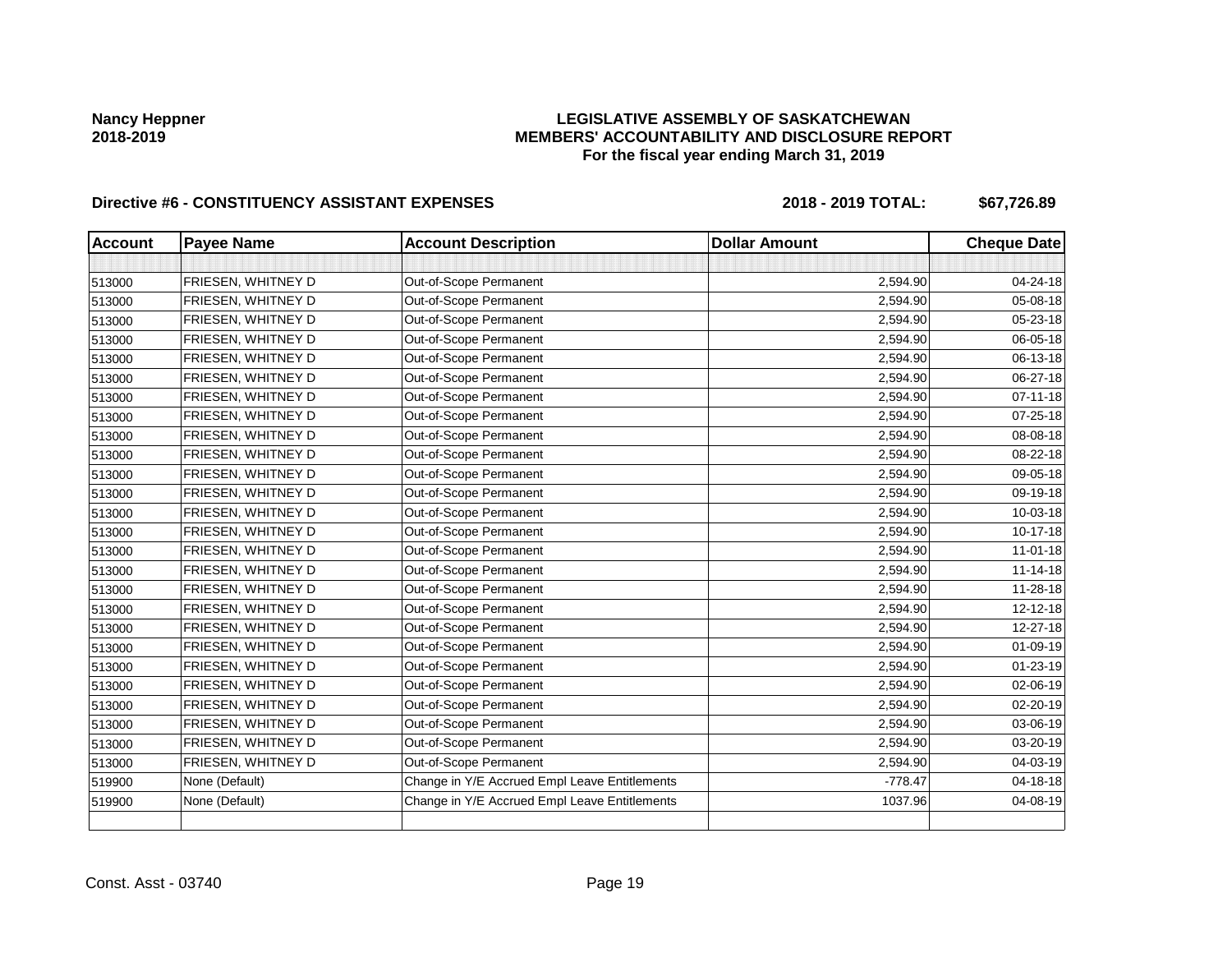## **LEGISLATIVE ASSEMBLY OF SASKATCHEWAN MEMBERS' ACCOUNTABILITY AND DISCLOSURE REPORT For the fiscal year ending March 31, 2019**

| <b>Account</b> | <b>Payee Name</b>  | <b>Account Description</b>                    | <b>Dollar Amount</b> | <b>Cheque Date</b> |
|----------------|--------------------|-----------------------------------------------|----------------------|--------------------|
|                |                    |                                               |                      |                    |
| 513000         | FRIESEN, WHITNEY D | Out-of-Scope Permanent                        | 2,594.90             | 04-24-18           |
| 513000         | FRIESEN, WHITNEY D | Out-of-Scope Permanent                        | 2,594.90             | 05-08-18           |
| 513000         | FRIESEN, WHITNEY D | Out-of-Scope Permanent                        | 2,594.90             | 05-23-18           |
| 513000         | FRIESEN, WHITNEY D | Out-of-Scope Permanent                        | 2,594.90             | 06-05-18           |
| 513000         | FRIESEN, WHITNEY D | Out-of-Scope Permanent                        | 2,594.90             | 06-13-18           |
| 513000         | FRIESEN, WHITNEY D | Out-of-Scope Permanent                        | 2,594.90             | 06-27-18           |
| 513000         | FRIESEN, WHITNEY D | Out-of-Scope Permanent                        | 2,594.90             | $07 - 11 - 18$     |
| 513000         | FRIESEN, WHITNEY D | Out-of-Scope Permanent                        | 2,594.90             | 07-25-18           |
| 513000         | FRIESEN, WHITNEY D | Out-of-Scope Permanent                        | 2,594.90             | 08-08-18           |
| 513000         | FRIESEN, WHITNEY D | Out-of-Scope Permanent                        | 2,594.90             | 08-22-18           |
| 513000         | FRIESEN, WHITNEY D | Out-of-Scope Permanent                        | 2,594.90             | 09-05-18           |
| 513000         | FRIESEN, WHITNEY D | Out-of-Scope Permanent                        | 2,594.90             | 09-19-18           |
| 513000         | FRIESEN, WHITNEY D | Out-of-Scope Permanent                        | 2,594.90             | 10-03-18           |
| 513000         | FRIESEN, WHITNEY D | Out-of-Scope Permanent                        | 2,594.90             | 10-17-18           |
| 513000         | FRIESEN, WHITNEY D | Out-of-Scope Permanent                        | 2,594.90             | $11 - 01 - 18$     |
| 513000         | FRIESEN, WHITNEY D | Out-of-Scope Permanent                        | 2,594.90             | $11 - 14 - 18$     |
| 513000         | FRIESEN, WHITNEY D | Out-of-Scope Permanent                        | 2,594.90             | 11-28-18           |
| 513000         | FRIESEN, WHITNEY D | Out-of-Scope Permanent                        | 2,594.90             | $12 - 12 - 18$     |
| 513000         | FRIESEN, WHITNEY D | Out-of-Scope Permanent                        | 2,594.90             | 12-27-18           |
| 513000         | FRIESEN, WHITNEY D | Out-of-Scope Permanent                        | 2,594.90             | 01-09-19           |
| 513000         | FRIESEN, WHITNEY D | Out-of-Scope Permanent                        | 2,594.90             | $01 - 23 - 19$     |
| 513000         | FRIESEN, WHITNEY D | Out-of-Scope Permanent                        | 2,594.90             | 02-06-19           |
| 513000         | FRIESEN, WHITNEY D | Out-of-Scope Permanent                        | 2,594.90             | $02 - 20 - 19$     |
| 513000         | FRIESEN, WHITNEY D | Out-of-Scope Permanent                        | 2,594.90             | 03-06-19           |
| 513000         | FRIESEN, WHITNEY D | Out-of-Scope Permanent                        | 2,594.90             | 03-20-19           |
| 513000         | FRIESEN, WHITNEY D | Out-of-Scope Permanent                        | 2,594.90             | 04-03-19           |
| 519900         | None (Default)     | Change in Y/E Accrued Empl Leave Entitlements | $-778.47$            | 04-18-18           |
| 519900         | None (Default)     | Change in Y/E Accrued Empl Leave Entitlements | 1037.96              | 04-08-19           |
|                |                    |                                               |                      |                    |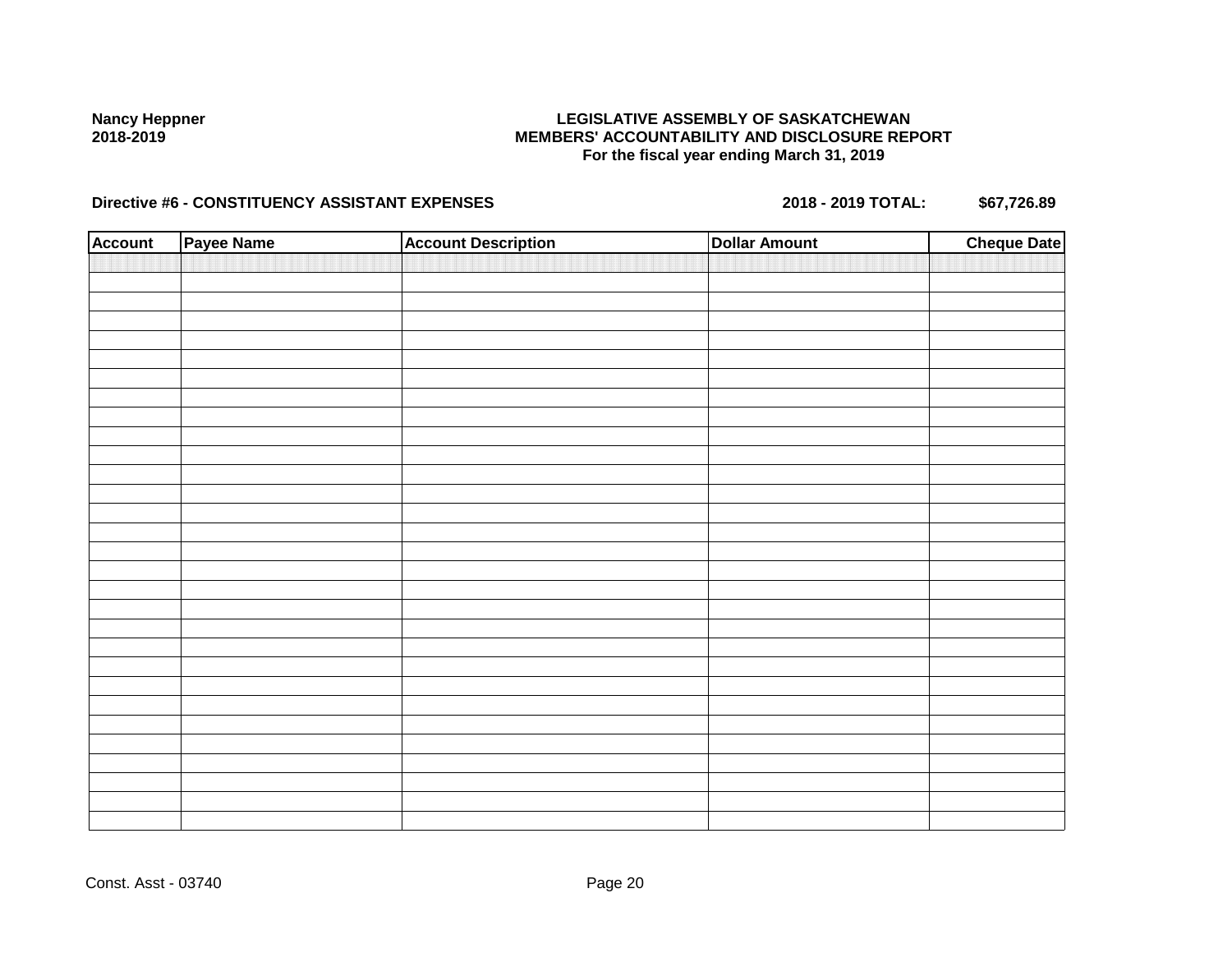## **LEGISLATIVE ASSEMBLY OF SASKATCHEWAN MEMBERS' ACCOUNTABILITY AND DISCLOSURE REPORT For the fiscal year ending March 31, 2019**

| <b>Account</b> | Payee Name | <b>Account Description</b> | <b>Dollar Amount</b> | <b>Cheque Date</b> |
|----------------|------------|----------------------------|----------------------|--------------------|
|                |            |                            |                      |                    |
|                |            |                            |                      |                    |
|                |            |                            |                      |                    |
|                |            |                            |                      |                    |
|                |            |                            |                      |                    |
|                |            |                            |                      |                    |
|                |            |                            |                      |                    |
|                |            |                            |                      |                    |
|                |            |                            |                      |                    |
|                |            |                            |                      |                    |
|                |            |                            |                      |                    |
|                |            |                            |                      |                    |
|                |            |                            |                      |                    |
|                |            |                            |                      |                    |
|                |            |                            |                      |                    |
|                |            |                            |                      |                    |
|                |            |                            |                      |                    |
|                |            |                            |                      |                    |
|                |            |                            |                      |                    |
|                |            |                            |                      |                    |
|                |            |                            |                      |                    |
|                |            |                            |                      |                    |
|                |            |                            |                      |                    |
|                |            |                            |                      |                    |
|                |            |                            |                      |                    |
|                |            |                            |                      |                    |
|                |            |                            |                      |                    |
|                |            |                            |                      |                    |
|                |            |                            |                      |                    |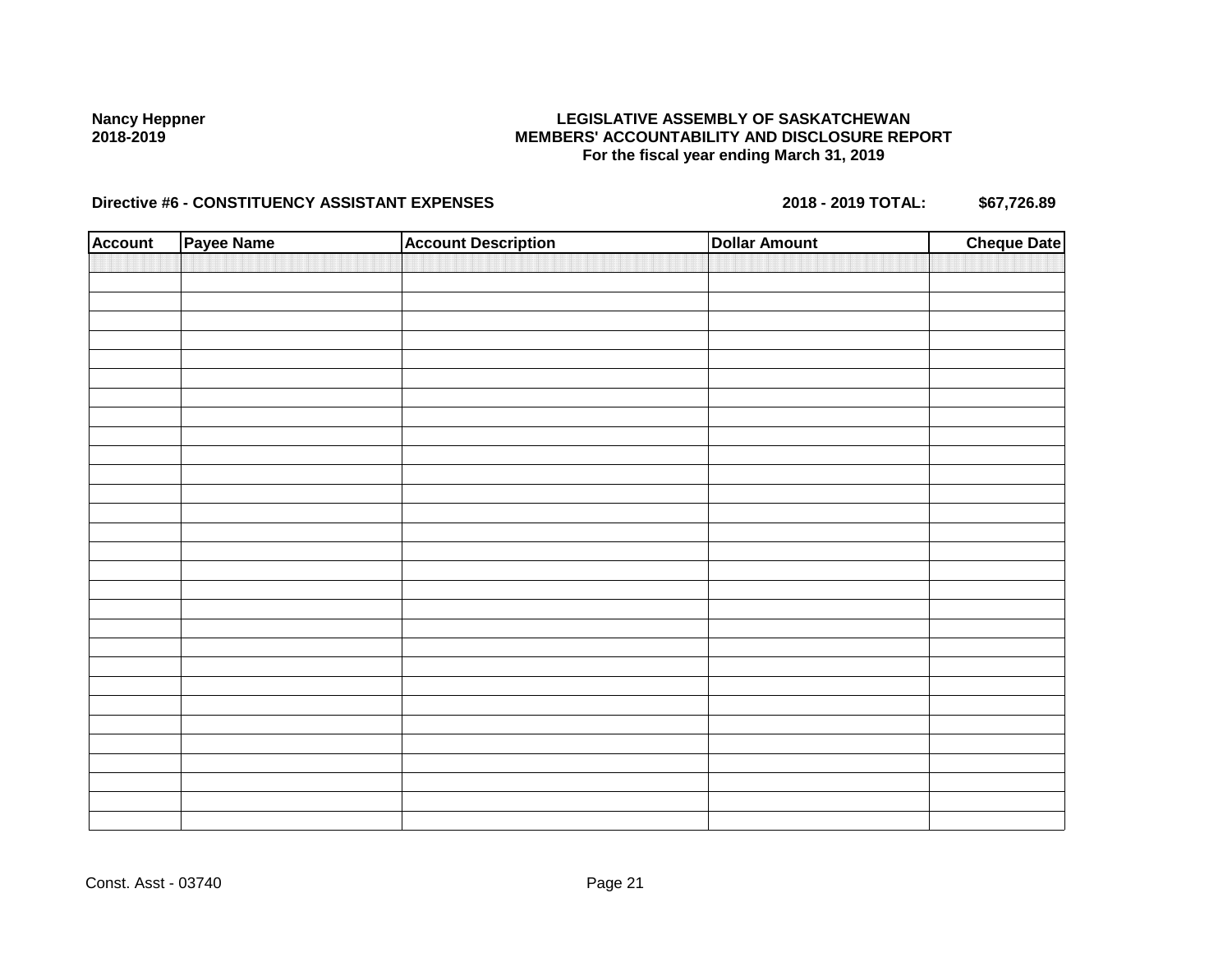## **LEGISLATIVE ASSEMBLY OF SASKATCHEWAN MEMBERS' ACCOUNTABILITY AND DISCLOSURE REPORT For the fiscal year ending March 31, 2019**

| <b>Account</b> | Payee Name | <b>Account Description</b> | <b>Dollar Amount</b> | <b>Cheque Date</b> |
|----------------|------------|----------------------------|----------------------|--------------------|
|                |            |                            |                      |                    |
|                |            |                            |                      |                    |
|                |            |                            |                      |                    |
|                |            |                            |                      |                    |
|                |            |                            |                      |                    |
|                |            |                            |                      |                    |
|                |            |                            |                      |                    |
|                |            |                            |                      |                    |
|                |            |                            |                      |                    |
|                |            |                            |                      |                    |
|                |            |                            |                      |                    |
|                |            |                            |                      |                    |
|                |            |                            |                      |                    |
|                |            |                            |                      |                    |
|                |            |                            |                      |                    |
|                |            |                            |                      |                    |
|                |            |                            |                      |                    |
|                |            |                            |                      |                    |
|                |            |                            |                      |                    |
|                |            |                            |                      |                    |
|                |            |                            |                      |                    |
|                |            |                            |                      |                    |
|                |            |                            |                      |                    |
|                |            |                            |                      |                    |
|                |            |                            |                      |                    |
|                |            |                            |                      |                    |
|                |            |                            |                      |                    |
|                |            |                            |                      |                    |
|                |            |                            |                      |                    |